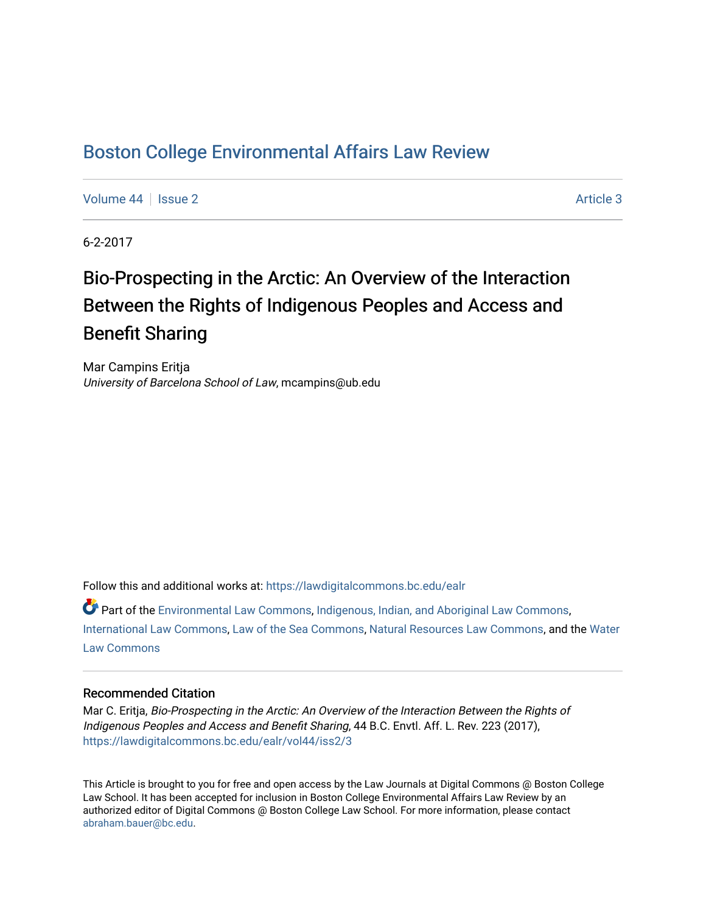# [Boston College Environmental Affairs Law Review](https://lawdigitalcommons.bc.edu/ealr)

[Volume 44](https://lawdigitalcommons.bc.edu/ealr/vol44) | [Issue 2](https://lawdigitalcommons.bc.edu/ealr/vol44/iss2) Article 3

6-2-2017

# Bio-Prospecting in the Arctic: An Overview of the Interaction Between the Rights of Indigenous Peoples and Access and Benefit Sharing

Mar Campins Eritja University of Barcelona School of Law, mcampins@ub.edu

Follow this and additional works at: [https://lawdigitalcommons.bc.edu/ealr](https://lawdigitalcommons.bc.edu/ealr?utm_source=lawdigitalcommons.bc.edu%2Fealr%2Fvol44%2Fiss2%2F3&utm_medium=PDF&utm_campaign=PDFCoverPages) 

Part of the [Environmental Law Commons](http://network.bepress.com/hgg/discipline/599?utm_source=lawdigitalcommons.bc.edu%2Fealr%2Fvol44%2Fiss2%2F3&utm_medium=PDF&utm_campaign=PDFCoverPages), [Indigenous, Indian, and Aboriginal Law Commons,](http://network.bepress.com/hgg/discipline/894?utm_source=lawdigitalcommons.bc.edu%2Fealr%2Fvol44%2Fiss2%2F3&utm_medium=PDF&utm_campaign=PDFCoverPages) [International Law Commons](http://network.bepress.com/hgg/discipline/609?utm_source=lawdigitalcommons.bc.edu%2Fealr%2Fvol44%2Fiss2%2F3&utm_medium=PDF&utm_campaign=PDFCoverPages), [Law of the Sea Commons](http://network.bepress.com/hgg/discipline/855?utm_source=lawdigitalcommons.bc.edu%2Fealr%2Fvol44%2Fiss2%2F3&utm_medium=PDF&utm_campaign=PDFCoverPages), [Natural Resources Law Commons,](http://network.bepress.com/hgg/discipline/863?utm_source=lawdigitalcommons.bc.edu%2Fealr%2Fvol44%2Fiss2%2F3&utm_medium=PDF&utm_campaign=PDFCoverPages) and the [Water](http://network.bepress.com/hgg/discipline/887?utm_source=lawdigitalcommons.bc.edu%2Fealr%2Fvol44%2Fiss2%2F3&utm_medium=PDF&utm_campaign=PDFCoverPages)  [Law Commons](http://network.bepress.com/hgg/discipline/887?utm_source=lawdigitalcommons.bc.edu%2Fealr%2Fvol44%2Fiss2%2F3&utm_medium=PDF&utm_campaign=PDFCoverPages) 

# Recommended Citation

Mar C. Eritja, Bio-Prospecting in the Arctic: An Overview of the Interaction Between the Rights of Indigenous Peoples and Access and Benefit Sharing, 44 B.C. Envtl. Aff. L. Rev. 223 (2017), [https://lawdigitalcommons.bc.edu/ealr/vol44/iss2/3](https://lawdigitalcommons.bc.edu/ealr/vol44/iss2/3?utm_source=lawdigitalcommons.bc.edu%2Fealr%2Fvol44%2Fiss2%2F3&utm_medium=PDF&utm_campaign=PDFCoverPages) 

This Article is brought to you for free and open access by the Law Journals at Digital Commons @ Boston College Law School. It has been accepted for inclusion in Boston College Environmental Affairs Law Review by an authorized editor of Digital Commons @ Boston College Law School. For more information, please contact [abraham.bauer@bc.edu.](mailto:abraham.bauer@bc.edu)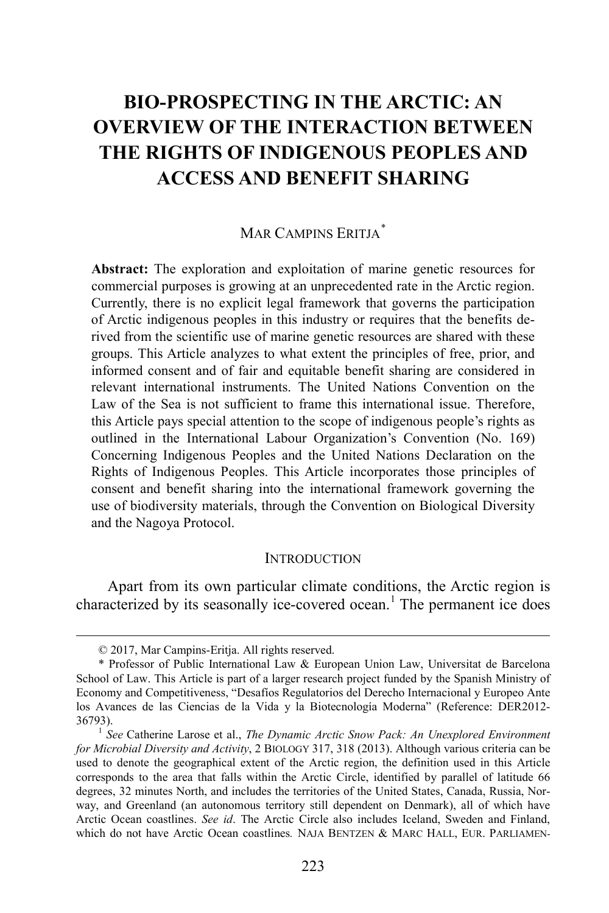# **BIO-PROSPECTING IN THE ARCTIC: AN OVERVIEW OF THE INTERACTION BETWEEN THE RIGHTS OF INDIGENOUS PEOPLES AND ACCESS AND BENEFIT SHARING**

# MAR CAMPINS ERITIA<sup>[\\*](#page-1-0)</sup>

**Abstract:** The exploration and exploitation of marine genetic resources for commercial purposes is growing at an unprecedented rate in the Arctic region. Currently, there is no explicit legal framework that governs the participation of Arctic indigenous peoples in this industry or requires that the benefits derived from the scientific use of marine genetic resources are shared with these groups. This Article analyzes to what extent the principles of free, prior, and informed consent and of fair and equitable benefit sharing are considered in relevant international instruments. The United Nations Convention on the Law of the Sea is not sufficient to frame this international issue. Therefore, this Article pays special attention to the scope of indigenous people's rights as outlined in the International Labour Organization's Convention (No. 169) Concerning Indigenous Peoples and the United Nations Declaration on the Rights of Indigenous Peoples. This Article incorporates those principles of consent and benefit sharing into the international framework governing the use of biodiversity materials, through the Convention on Biological Diversity and the Nagoya Protocol.

#### <span id="page-1-2"></span>**INTRODUCTION**

Apart from its own particular climate conditions, the Arctic region is characterized by its seasonally ice-covered ocean.<sup>[1](#page-1-1)</sup> The permanent ice does

 <sup>© 2017,</sup> Mar Campins-Eritja. All rights reserved.

<span id="page-1-0"></span><sup>\*</sup> Professor of Public International Law & European Union Law, Universitat de Barcelona School of Law. This Article is part of a larger research project funded by the Spanish Ministry of Economy and Competitiveness, "Desafíos Regulatorios del Derecho Internacional y Europeo Ante los Avances de las Ciencias de la Vida y la Biotecnología Moderna" (Reference: DER2012- 36793). <sup>1</sup> *See* Catherine Larose et al., *The Dynamic Arctic Snow Pack: An Unexplored Environment* 

<span id="page-1-1"></span>*for Microbial Diversity and Activity*, 2 BIOLOGY 317, 318 (2013). Although various criteria can be used to denote the geographical extent of the Arctic region, the definition used in this Article corresponds to the area that falls within the Arctic Circle, identified by parallel of latitude 66 degrees, 32 minutes North, and includes the territories of the United States, Canada, Russia, Norway, and Greenland (an autonomous territory still dependent on Denmark), all of which have Arctic Ocean coastlines. *See id*. The Arctic Circle also includes Iceland, Sweden and Finland, which do not have Arctic Ocean coastlines*.* NAJA BENTZEN & MARC HALL, EUR. PARLIAMEN-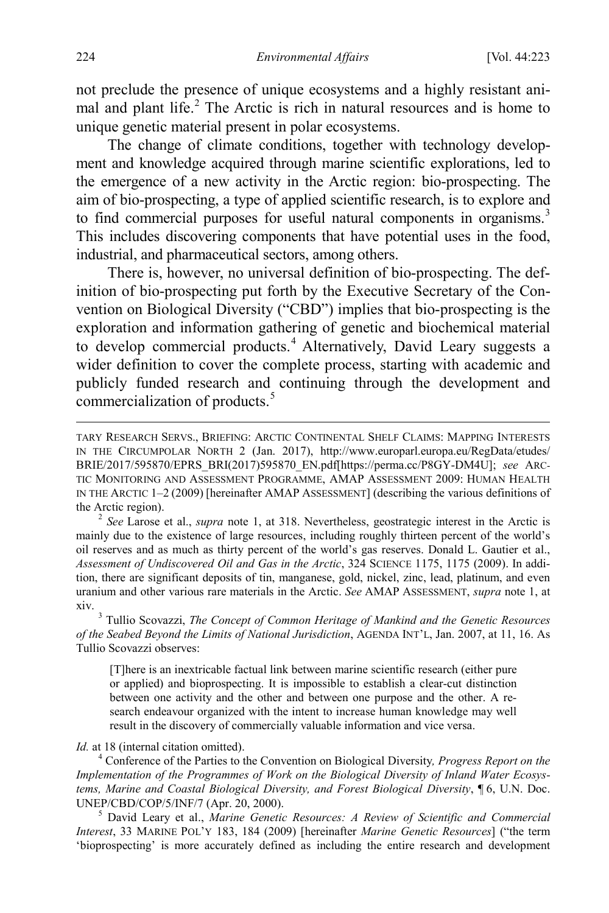not preclude the presence of unique ecosystems and a highly resistant animal and plant life. [2](#page-2-0) The Arctic is rich in natural resources and is home to unique genetic material present in polar ecosystems.

The change of climate conditions, together with technology development and knowledge acquired through marine scientific explorations, led to the emergence of a new activity in the Arctic region: bio-prospecting. The aim of bio-prospecting, a type of applied scientific research, is to explore and to find commercial purposes for useful natural components in organisms.<sup>[3](#page-2-1)</sup> This includes discovering components that have potential uses in the food, industrial, and pharmaceutical sectors, among others.

<span id="page-2-5"></span>There is, however, no universal definition of bio-prospecting. The definition of bio-prospecting put forth by the Executive Secretary of the Convention on Biological Diversity ("CBD") implies that bio-prospecting is the exploration and information gathering of genetic and biochemical material to develop commercial products.<sup>[4](#page-2-2)</sup> Alternatively, David Leary suggests a wider definition to cover the complete process, starting with academic and publicly funded research and continuing through the development and commercialization of products.<sup>[5](#page-2-3)</sup>

<span id="page-2-0"></span>mainly due to the existence of large resources, including roughly thirteen percent of the world's oil reserves and as much as thirty percent of the world's gas reserves. Donald L. Gautier et al., *Assessment of Undiscovered Oil and Gas in the Arctic*, 324 SCIENCE 1175, 1175 (2009). In addition, there are significant deposits of tin, manganese, gold, nickel, zinc, lead, platinum, and even uranium and other various rare materials in the Arctic. *See* AMAP ASSESSMENT, *supra* note [1,](#page-1-2) at xiv. <sup>3</sup> Tullio Scovazzi, *The Concept of Common Heritage of Mankind and the Genetic Resources* 

<span id="page-2-1"></span>*of the Seabed Beyond the Limits of National Jurisdiction*, AGENDA INT'L, Jan. 2007, at 11, 16. As Tullio Scovazzi observes:

[T]here is an inextricable factual link between marine scientific research (either pure or applied) and bioprospecting. It is impossible to establish a clear-cut distinction between one activity and the other and between one purpose and the other. A research endeavour organized with the intent to increase human knowledge may well result in the discovery of commercially valuable information and vice versa.

<span id="page-2-2"></span>*Id.* at 18 (internal citation omitted).<br><sup>4</sup> Conference of the Parties to the Convention on Biological Diversity, *Progress Report on the Implementation of the Programmes of Work on the Biological Diversity of Inland Water Ecosystems, Marine and Coastal Biological Diversity, and Forest Biological Diversity*,  $\P$  6, U.N. Doc. UNEP/CBD/COP/5/INF/7 (Apr. 20, 2000).

<span id="page-2-3"></span><sup>5</sup> David Leary et al., *Marine Genetic Resources: A Review of Scientific and Commercial Interest*, 33 MARINE POL'Y 183, 184 (2009) [hereinafter *Marine Genetic Resources*] ("the term 'bioprospecting' is more accurately defined as including the entire research and development

<span id="page-2-4"></span>TARY RESEARCH SERVS., BRIEFING: ARCTIC CONTINENTAL SHELF CLAIMS: MAPPING INTERESTS IN THE CIRCUMPOLAR NORTH 2 (Jan. 2017), http://www.europarl.europa.eu/RegData/etudes/ BRIE/2017/595870/EPRS\_BRI(2017)595870\_EN.pdf[https://perma.cc/P8GY-DM4U]; *see* ARC-TIC MONITORING AND ASSESSMENT PROGRAMME, AMAP ASSESSMENT 2009: HUMAN HEALTH IN THE ARCTIC 1–2 (2009) [hereinafter AMAP ASSESSMENT] (describing the various definitions of the Arctic region). <sup>2</sup> *See* Larose et al., *supra* note [1,](#page-1-2) at 318. Nevertheless, geostrategic interest in the Arctic is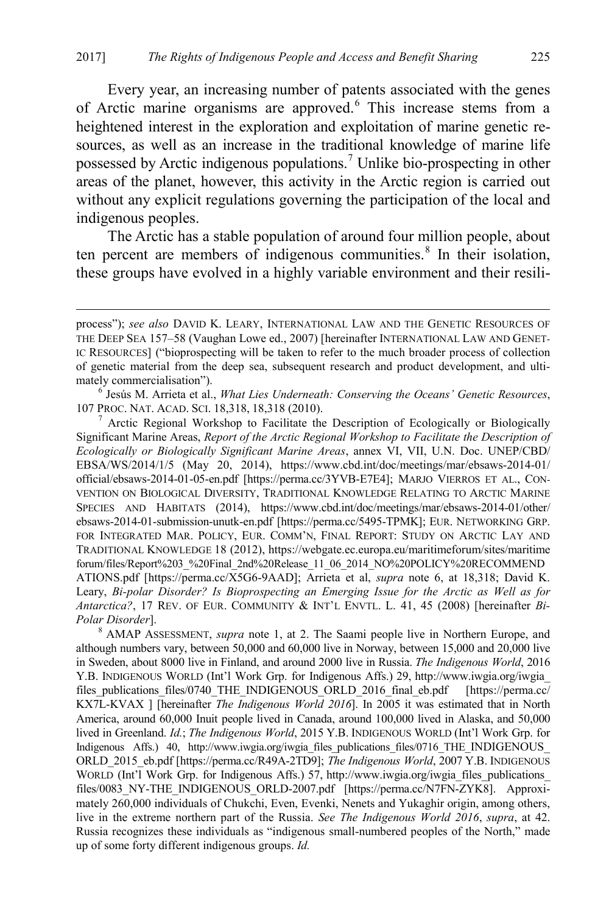<span id="page-3-4"></span><span id="page-3-0"></span>Every year, an increasing number of patents associated with the genes of Arctic marine organisms are approved.[6](#page-3-1) This increase stems from a heightened interest in the exploration and exploitation of marine genetic resources, as well as an increase in the traditional knowledge of marine life possessed by Arctic indigenous populations.[7](#page-3-2) Unlike bio-prospecting in other areas of the planet, however, this activity in the Arctic region is carried out without any explicit regulations governing the participation of the local and indigenous peoples.

The Arctic has a stable population of around four million people, about ten percent are members of indigenous communities. $8 \text{ In their isolation}$  $8 \text{ In their isolation}$ , these groups have evolved in a highly variable environment and their resili-

<span id="page-3-1"></span>107 PROC. NAT. ACAD. SCI. 18,318, 18,318 (2010).<br><sup>7</sup> Arctic Regional Workshop to Facilitate the Description of Ecologically or Biologically

<span id="page-3-2"></span>Significant Marine Areas, *Report of the Arctic Regional Workshop to Facilitate the Description of Ecologically or Biologically Significant Marine Areas*, annex VI, VII, U.N. Doc. UNEP/CBD/ EBSA/WS/2014/1/5 (May 20, 2014), https://www.cbd.int/doc/meetings/mar/ebsaws-2014-01/ official/ebsaws-2014-01-05-en.pdf [https://perma.cc/3YVB-E7E4]; MARJO VIERROS ET AL., CON-VENTION ON BIOLOGICAL DIVERSITY, TRADITIONAL KNOWLEDGE RELATING TO ARCTIC MARINE SPECIES AND HABITATS (2014), https://www.cbd.int/doc/meetings/mar/ebsaws-2014-01/other/ ebsaws-2014-01-submission-unutk-en.pdf [https://perma.cc/5495-TPMK]; EUR. NETWORKING GRP. FOR INTEGRATED MAR. POLICY, EUR. COMM'N, FINAL REPORT: STUDY ON ARCTIC LAY AND TRADITIONAL KNOWLEDGE 18 (2012), https://webgate.ec.europa.eu/maritimeforum/sites/maritime forum/files/Report%203\_%20Final\_2nd%20Release\_11\_06\_2014\_NO%20POLICY%20RECOMMEND ATIONS.pdf [https://perma.cc/X5G6-9AAD]; Arrieta et al, *supra* note [6,](#page-3-0) at 18,318; David K. Leary, *Bi-polar Disorder? Is Bioprospecting an Emerging Issue for the Arctic as Well as for Antarctica?*, 17 REV. OF EUR. COMMUNITY & INT'L ENVTL. L. 41, 45 (2008) [hereinafter *Bi-Polar Disorder*]. <sup>8</sup> AMAP ASSESSMENT, *supra* note [1,](#page-1-2) at 2. The Saami people live in Northern Europe, and

<span id="page-3-3"></span>although numbers vary, between 50,000 and 60,000 live in Norway, between 15,000 and 20,000 live in Sweden, about 8000 live in Finland, and around 2000 live in Russia. *The Indigenous World*, 2016 Y.B. INDIGENOUS WORLD (Int'l Work Grp. for Indigenous Affs.) 29, http://www.iwgia.org/iwgia\_ files publications\_files/0740\_THE\_INDIGENOUS\_ORLD\_2016\_final\_eb.pdf [https://perma.cc/ KX7L-KVAX ] [hereinafter *The Indigenous World 2016*]. In 2005 it was estimated that in North America, around 60,000 Inuit people lived in Canada, around 100,000 lived in Alaska, and 50,000 lived in Greenland. *Id.*; *The Indigenous World*, 2015 Y.B. INDIGENOUS WORLD (Int'l Work Grp. for Indigenous Affs.) 40, http://www.iwgia.org/iwgia files publications files/0716 THE\_INDIGENOUS ORLD\_2015\_eb.pdf [https://perma.cc/R49A-2TD9]; *The Indigenous World*, 2007 Y.B. INDIGENOUS WORLD (Int'l Work Grp. for Indigenous Affs.) 57, http://www.iwgia.org/iwgia\_files\_publications files/0083\_NY-THE\_INDIGENOUS\_ORLD-2007.pdf [https://perma.cc/N7FN-ZYK8]. Approximately 260,000 individuals of Chukchi, Even, Evenki, Nenets and Yukaghir origin, among others, live in the extreme northern part of the Russia. *See The Indigenous World 2016*, *supra*, at 42. Russia recognizes these individuals as "indigenous small-numbered peoples of the North," made up of some forty different indigenous groups. *Id.*

process"); *see also* DAVID K. LEARY, INTERNATIONAL LAW AND THE GENETIC RESOURCES OF THE DEEP SEA 157–58 (Vaughan Lowe ed., 2007) [hereinafter INTERNATIONAL LAW AND GENET-IC RESOURCES] ("bioprospecting will be taken to refer to the much broader process of collection of genetic material from the deep sea, subsequent research and product development, and ultimately commercialisation").<br><sup>6</sup> Jesús M. Arrieta et al., *What Lies Underneath: Conserving the Oceans' Genetic Resources*,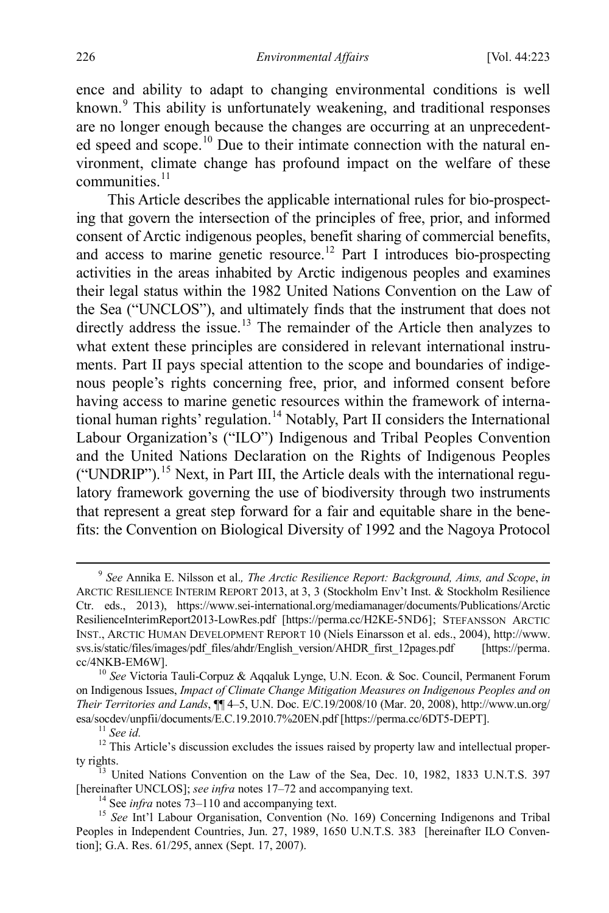ence and ability to adapt to changing environmental conditions is well known.<sup>[9](#page-4-0)</sup> This ability is unfortunately weakening, and traditional responses are no longer enough because the changes are occurring at an unprecedented speed and scope.<sup>10</sup> Due to their intimate connection with the natural environment, climate change has profound impact on the welfare of these  $commu<sub>ni</sub>$  communities.<sup>[11](#page-4-2)</sup>

<span id="page-4-7"></span>This Article describes the applicable international rules for bio-prospecting that govern the intersection of the principles of free, prior, and informed consent of Arctic indigenous peoples, benefit sharing of commercial benefits, and access to marine genetic resource.<sup>[12](#page-4-3)</sup> Part I introduces bio-prospecting activities in the areas inhabited by Arctic indigenous peoples and examines their legal status within the 1982 United Nations Convention on the Law of the Sea ("UNCLOS"), and ultimately finds that the instrument that does not directly address the issue.<sup>[13](#page-4-4)</sup> The remainder of the Article then analyzes to what extent these principles are considered in relevant international instruments. Part II pays special attention to the scope and boundaries of indigenous people's rights concerning free, prior, and informed consent before having access to marine genetic resources within the framework of international human rights' regulation.<sup>14</sup> Notably, Part II considers the International Labour Organization's ("ILO") Indigenous and Tribal Peoples Convention and the United Nations Declaration on the Rights of Indigenous Peoples ("UNDRIP").<sup>[15](#page-4-6)</sup> Next, in Part III, the Article deals with the international regulatory framework governing the use of biodiversity through two instruments that represent a great step forward for a fair and equitable share in the benefits: the Convention on Biological Diversity of 1992 and the Nagoya Protocol

<span id="page-4-8"></span><span id="page-4-0"></span> <sup>9</sup> *See* Annika E. Nilsson et al.*, The Arctic Resilience Report: Background, Aims, and Scope*, *in* ARCTIC RESILIENCE INTERIM REPORT 2013, at 3, 3 (Stockholm Env't Inst. & Stockholm Resilience Ctr. eds., 2013), https://www.sei-international.org/mediamanager/documents/Publications/Arctic ResilienceInterimReport2013-LowRes.pdf [https://perma.cc/H2KE-5ND6]; STEFANSSON ARCTIC INST., ARCTIC HUMAN DEVELOPMENT REPORT 10 (Niels Einarsson et al. eds., 2004), http://www. svs.is/static/files/images/pdf\_files/ahdr/English\_version/AHDR\_first\_12pages.pdf [https://perma. cc/4NKB-EM6W]. 10 *See* Victoria Tauli-Corpuz & Aqqaluk Lynge, U.N. Econ. & Soc. Council, Permanent Forum

<span id="page-4-1"></span>on Indigenous Issues, *Impact of Climate Change Mitigation Measures on Indigenous Peoples and on Their Territories and Lands*, ¶¶ 4–5, U.N. Doc. E/C.19/2008/10 (Mar. 20, 2008), http://www.un.org/ esa/socdev/unpfii/documents/E.C.19.2010.7%20EN.pdf [https://perma.cc/6DT5-DEPT].<br><sup>11</sup> *See id.* <sup>12</sup> This Article's discussion excludes the issues raised by property law and intellectual proper-

<span id="page-4-3"></span><span id="page-4-2"></span>

<span id="page-4-4"></span>ty rights.<br><sup>13</sup> United Nations Convention on the Law of the Sea, Dec. 10, 1982, 1833 U.N.T.S. 397 [hereinafter UNCLOS]; see infra notes 17–72 and accompanying text.<br><sup>14</sup> See infra note[s 73](#page-14-1)[–110](#page-20-0) and accompanying text.<br><sup>15</sup> See Int'l Labour Organisation, Convention (No. 169) Concerning Indigenons and Tribal

<span id="page-4-6"></span><span id="page-4-5"></span>Peoples in Independent Countries, Jun. 27, 1989, 1650 U.N.T.S. 383 [hereinafter ILO Convention]; G.A. Res. 61/295, annex (Sept. 17, 2007).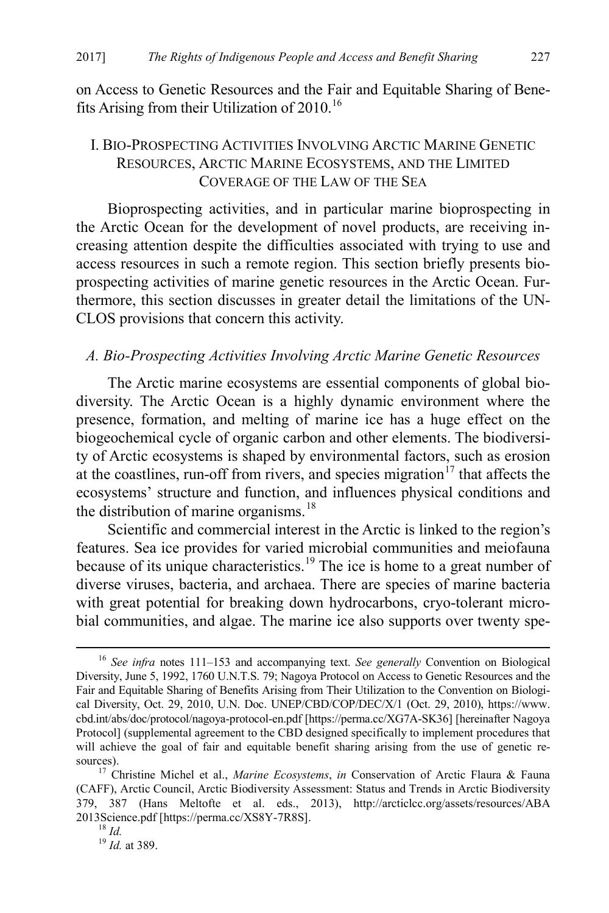on Access to Genetic Resources and the Fair and Equitable Sharing of Benefits Arising from their Utilization of  $2010$ .<sup>[16](#page-5-1)</sup>

# <span id="page-5-5"></span>I. BIO-PROSPECTING ACTIVITIES INVOLVING ARCTIC MARINE GENETIC RESOURCES, ARCTIC MARINE ECOSYSTEMS, AND THE LIMITED COVERAGE OF THE LAW OF THE SEA

Bioprospecting activities, and in particular marine bioprospecting in the Arctic Ocean for the development of novel products, are receiving increasing attention despite the difficulties associated with trying to use and access resources in such a remote region. This section briefly presents bioprospecting activities of marine genetic resources in the Arctic Ocean. Furthermore, this section discusses in greater detail the limitations of the UN-CLOS provisions that concern this activity.

#### *A. Bio-Prospecting Activities Involving Arctic Marine Genetic Resources*

The Arctic marine ecosystems are essential components of global biodiversity. The Arctic Ocean is a highly dynamic environment where the presence, formation, and melting of marine ice has a huge effect on the biogeochemical cycle of organic carbon and other elements. The biodiversity of Arctic ecosystems is shaped by environmental factors, such as erosion at the coastlines, run-off from rivers, and species migration<sup>[17](#page-5-2)</sup> that affects the ecosystems' structure and function, and influences physical conditions and the distribution of marine organisms. $18$ 

<span id="page-5-0"></span>Scientific and commercial interest in the Arctic is linked to the region's features. Sea ice provides for varied microbial communities and meiofauna because of its unique characteristics.<sup>[19](#page-5-4)</sup> The ice is home to a great number of diverse viruses, bacteria, and archaea. There are species of marine bacteria with great potential for breaking down hydrocarbons, cryo-tolerant microbial communities, and algae. The marine ice also supports over twenty spe-

<span id="page-5-1"></span> <sup>16</sup> *See infra* notes [111](#page-21-0)[–153](#page-27-0) and accompanying text. *See generally* Convention on Biological Diversity, June 5, 1992, 1760 U.N.T.S. 79; Nagoya Protocol on Access to Genetic Resources and the Fair and Equitable Sharing of Benefits Arising from Their Utilization to the Convention on Biological Diversity, Oct. 29, 2010, U.N. Doc. UNEP/CBD/COP/DEC/X/1 (Oct. 29, 2010), https://www. cbd.int/abs/doc/protocol/nagoya-protocol-en.pdf [https://perma.cc/XG7A-SK36] [hereinafter Nagoya Protocol] (supplemental agreement to the CBD designed specifically to implement procedures that will achieve the goal of fair and equitable benefit sharing arising from the use of genetic resources). <sup>17</sup> Christine Michel et al., *Marine Ecosystems*, *in* Conservation of Arctic Flaura & Fauna

<span id="page-5-3"></span><span id="page-5-2"></span><sup>(</sup>CAFF), Arctic Council, Arctic Biodiversity Assessment: Status and Trends in Arctic Biodiversity 379, 387 (Hans Meltofte et al. eds., 2013), http://arcticlcc.org/assets/resources/ABA 2013Science.pdf [https://perma.cc/XS8Y-7R8S]. <sup>18</sup> *Id.* <sup>19</sup> *Id.* at 389.

<span id="page-5-4"></span>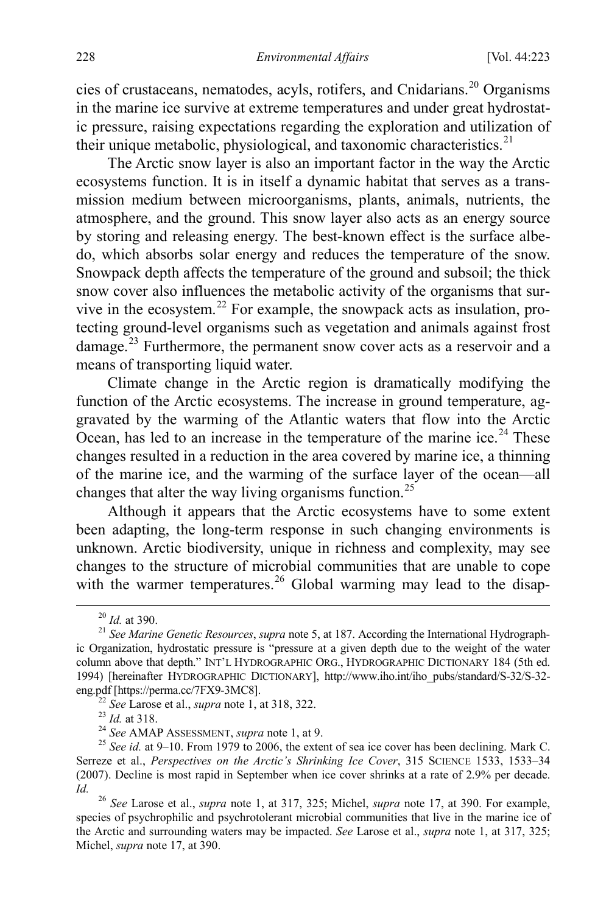cies of crustaceans, nematodes, acyls, rotifers, and Cnidarians.[20](#page-6-0) Organisms in the marine ice survive at extreme temperatures and under great hydrostatic pressure, raising expectations regarding the exploration and utilization of their unique metabolic, physiological, and taxonomic characteristics.<sup>[21](#page-6-1)</sup>

<span id="page-6-7"></span>The Arctic snow layer is also an important factor in the way the Arctic ecosystems function. It is in itself a dynamic habitat that serves as a transmission medium between microorganisms, plants, animals, nutrients, the atmosphere, and the ground. This snow layer also acts as an energy source by storing and releasing energy. The best-known effect is the surface albedo, which absorbs solar energy and reduces the temperature of the snow. Snowpack depth affects the temperature of the ground and subsoil; the thick snow cover also influences the metabolic activity of the organisms that sur-vive in the ecosystem.<sup>[22](#page-6-2)</sup> For example, the snowpack acts as insulation, protecting ground-level organisms such as vegetation and animals against frost damage.<sup>[23](#page-6-3)</sup> Furthermore, the permanent snow cover acts as a reservoir and a means of transporting liquid water.

Climate change in the Arctic region is dramatically modifying the function of the Arctic ecosystems. The increase in ground temperature, aggravated by the warming of the Atlantic waters that flow into the Arctic Ocean, has led to an increase in the temperature of the marine ice.<sup>[24](#page-6-4)</sup> These changes resulted in a reduction in the area covered by marine ice, a thinning of the marine ice, and the warming of the surface layer of the ocean—all changes that alter the way living organisms function.<sup>[25](#page-6-5)</sup>

Although it appears that the Arctic ecosystems have to some extent been adapting, the long-term response in such changing environments is unknown. Arctic biodiversity, unique in richness and complexity, may see changes to the structure of microbial communities that are unable to cope with the warmer temperatures.<sup>26</sup> Global warming may lead to the disap-

<span id="page-6-1"></span><span id="page-6-0"></span><sup>&</sup>lt;sup>20</sup> *Id.* at 390.<br><sup>21</sup> *See Marine Genetic Resources, supra* note [5,](#page-2-4) at 187. According the International Hydrographic Organization, hydrostatic pressure is "pressure at a given depth due to the weight of the water column above that depth." INT'L HYDROGRAPHIC ORG., HYDROGRAPHIC DICTIONARY 184 (5th ed. 1994) [hereinafter HYDROGRAPHIC DICTIONARY], http://www.iho.int/iho\_pubs/standard/S-32/S-32-

<span id="page-6-5"></span><span id="page-6-4"></span><span id="page-6-3"></span><span id="page-6-2"></span><sup>&</sup>lt;sup>22</sup> See Larose et al., *supra* not[e 1,](#page-1-2) at 318, 322.<br>
<sup>23</sup> *Id.* at 318.<br>
<sup>24</sup> See AMAP ASSESSMENT, *supra* note [1,](#page-1-2) at 9.<br>
<sup>25</sup> See *id.* at 9–10. From 1979 to 2006, the extent of sea ice cover has been declining. Mark C. Serreze et al., *Perspectives on the Arctic's Shrinking Ice Cover*, 315 SCIENCE 1533, 1533–34 (2007). Decline is most rapid in September when ice cover shrinks at a rate of 2.9% per decade. *Id.* <sup>26</sup> *See* Larose et al., *supra* note [1,](#page-1-2) at 317, 325; Michel, *supra* note [17,](#page-5-0) at 390. For example,

<span id="page-6-6"></span>species of psychrophilic and psychrotolerant microbial communities that live in the marine ice of the Arctic and surrounding waters may be impacted. *See* Larose et al., *supra* note [1,](#page-1-2) at 317, 325; Michel, *supra* not[e 17,](#page-5-0) at 390.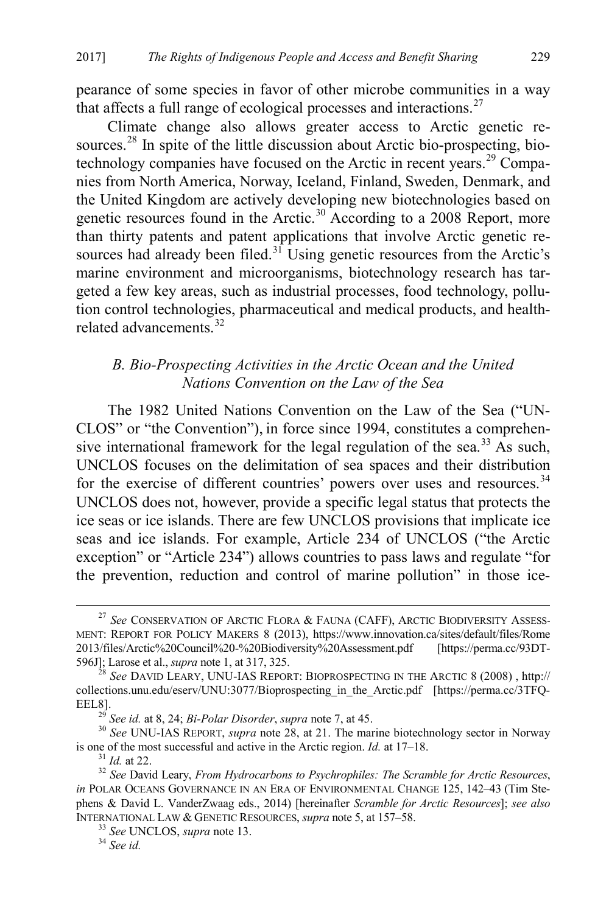pearance of some species in favor of other microbe communities in a way that affects a full range of ecological processes and interactions.<sup>[27](#page-7-1)</sup>

<span id="page-7-0"></span>Climate change also allows greater access to Arctic genetic re-sources.<sup>[28](#page-7-2)</sup> In spite of the little discussion about Arctic bio-prospecting, bio-technology companies have focused on the Arctic in recent years.<sup>[29](#page-7-3)</sup> Companies from North America, Norway, Iceland, Finland, Sweden, Denmark, and the United Kingdom are actively developing new biotechnologies based on genetic resources found in the Arctic.<sup>[30](#page-7-4)</sup> According to a 2008 Report, more than thirty patents and patent applications that involve Arctic genetic re-sources had already been filed.<sup>[31](#page-7-5)</sup> Using genetic resources from the Arctic's marine environment and microorganisms, biotechnology research has targeted a few key areas, such as industrial processes, food technology, pollution control technologies, pharmaceutical and medical products, and health-related advancements.<sup>[32](#page-7-6)</sup>

# <span id="page-7-9"></span>*B. Bio-Prospecting Activities in the Arctic Ocean and the United Nations Convention on the Law of the Sea*

The 1982 United Nations Convention on the Law of the Sea ("UN-CLOS" or "the Convention"), in force since 1994, constitutes a comprehen-sive international framework for the legal regulation of the sea.<sup>[33](#page-7-7)</sup> As such, UNCLOS focuses on the delimitation of sea spaces and their distribution for the exercise of different countries' powers over uses and resources.<sup>[34](#page-7-8)</sup> UNCLOS does not, however, provide a specific legal status that protects the ice seas or ice islands. There are few UNCLOS provisions that implicate ice seas and ice islands. For example, Article 234 of UNCLOS ("the Arctic exception" or "Article 234") allows countries to pass laws and regulate "for the prevention, reduction and control of marine pollution" in those ice-

<span id="page-7-1"></span><sup>&</sup>lt;sup>27</sup> See CONSERVATION OF ARCTIC FLORA & FAUNA (CAFF), ARCTIC BIODIVERSITY ASSESS-MENT: REPORT FOR POLICY MAKERS 8 (2013), https://www.innovation.ca/sites/default/files/Rome 2013/files/Arctic%20Council%20-%20Biodiversity%20Assessment.pdf [https://perma.cc/93DT-596J]; Larose et al., *supra* note 1, at 317, 325.

<span id="page-7-2"></span><sup>&</sup>lt;sup>28</sup> See DAVID LEARY, UNU-IAS REPORT: BIOPROSPECTING IN THE ARCTIC 8 (2008), http:// collections.unu.edu/eserv/UNU:3077/Bioprospecting\_in\_the\_Arctic.pdf [https://perma.cc/3TFQ-EEL8].<br><sup>29</sup> See id. at 8, 24; *Bi-Polar Disorder*, *supra* note 7, at 45.

<span id="page-7-4"></span><span id="page-7-3"></span><sup>&</sup>lt;sup>30</sup> See UNU-IAS REPORT, *supra* not[e 28,](#page-7-0) at 21. The marine biotechnology sector in Norway is one of the most successful and active in the Arctic region. *Id.* at 17–18.<br><sup>31</sup> *Id.* at 22. <sup>32</sup> *See* David Leary, *From Hydrocarbons to Psychrophiles: The Scramble for Arctic Resources*,

<span id="page-7-7"></span><span id="page-7-6"></span><span id="page-7-5"></span>*in* POLAR OCEANS GOVERNANCE IN AN ERA OF ENVIRONMENTAL CHANGE 125, 142–43 (Tim Stephens & David L. VanderZwaag eds., 2014) [hereinafter *Scramble for Arctic Resources*]; *see also* INTERNATIONAL LAW & GENETIC RESOURCES, *supra* not[e 5,](#page-2-4) at 157–58. <sup>33</sup> *See* UNCLOS, *supra* note [13.](#page-4-7) 34 *See id.*

<span id="page-7-8"></span>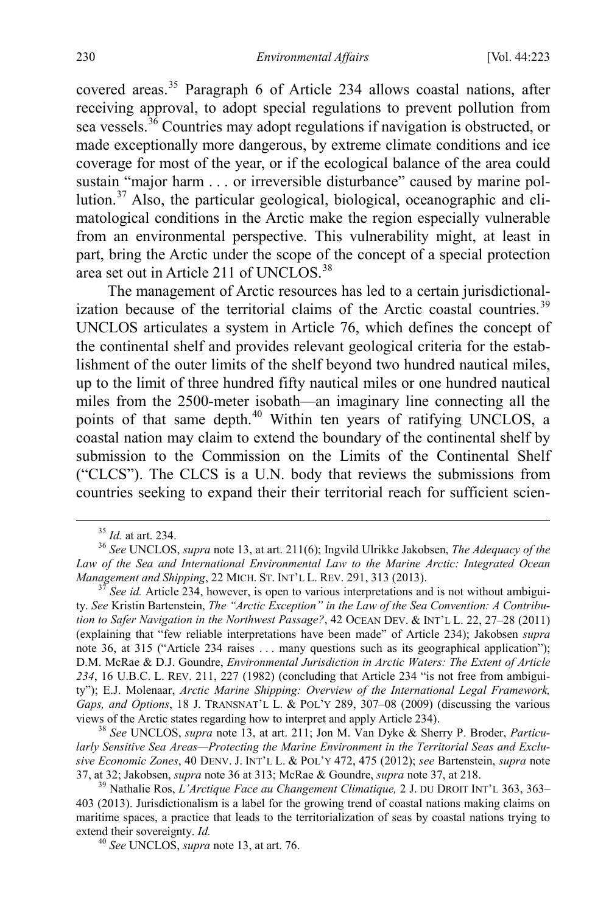<span id="page-8-0"></span>covered areas. [35](#page-8-2) Paragraph 6 of Article 234 allows coastal nations, after receiving approval, to adopt special regulations to prevent pollution from sea vessels.<sup>[36](#page-8-3)</sup> Countries may adopt regulations if navigation is obstructed, or made exceptionally more dangerous, by extreme climate conditions and ice coverage for most of the year, or if the ecological balance of the area could sustain "major harm . . . or irreversible disturbance" caused by marine pollution. $37$  Also, the particular geological, biological, oceanographic and climatological conditions in the Arctic make the region especially vulnerable from an environmental perspective. This vulnerability might, at least in part, bring the Arctic under the scope of the concept of a special protection area set out in Article 211 of UNCLOS.<sup>38</sup>

<span id="page-8-1"></span>The management of Arctic resources has led to a certain jurisdictional-ization because of the territorial claims of the Arctic coastal countries.<sup>[39](#page-8-6)</sup> UNCLOS articulates a system in Article 76, which defines the concept of the continental shelf and provides relevant geological criteria for the establishment of the outer limits of the shelf beyond two hundred nautical miles, up to the limit of three hundred fifty nautical miles or one hundred nautical miles from the 2500-meter isobath—an imaginary line connecting all the points of that same depth.<sup>[40](#page-8-7)</sup> Within ten years of ratifying UNCLOS, a coastal nation may claim to extend the boundary of the continental shelf by submission to the Commission on the Limits of the Continental Shelf ("CLCS"). The CLCS is a U.N. body that reviews the submissions from countries seeking to expand their their territorial reach for sufficient scien-

<span id="page-8-5"></span><sup>38</sup> See UNCLOS, *supra* not[e 13,](#page-4-7) at art. 211; Jon M. Van Dyke & Sherry P. Broder, *Particularly Sensitive Sea Areas—Protecting the Marine Environment in the Territorial Seas and Exclusive Economic Zones*, 40 DENV. J. INT'L L. & POL'Y 472, 475 (2012); *see* Bartenstein, *supra* note

<span id="page-8-3"></span><span id="page-8-2"></span><sup>&</sup>lt;sup>35</sup> *Id.* at art. 234.<br><sup>36</sup> *See* UNCLOS, *supra* not[e 13,](#page-4-7) at art. 211(6); Ingvild Ulrikke Jakobsen, *The Adequacy of the* Law of the Sea and International Environmental Law to the Marine Arctic: Integrated Ocean Management and Shipping, 22 MICH. ST. INT'L L. REV. 291, 313 (2013).

<span id="page-8-4"></span><sup>&</sup>lt;sup>37</sup> *See id.* Article 234, however, is open to various interpretations and is not without ambiguity. *See* Kristin Bartenstein, *The "Arctic Exception" in the Law of the Sea Convention: A Contribution to Safer Navigation in the Northwest Passage?*, 42 OCEAN DEV. & INT'L L. 22, 27–28 (2011) (explaining that "few reliable interpretations have been made" of Article 234); Jakobsen *supra* note [36,](#page-8-0) at 315 ("Article 234 raises . . . many questions such as its geographical application"); D.M. McRae & D.J. Goundre, *Environmental Jurisdiction in Arctic Waters: The Extent of Article 234*, 16 U.B.C. L. REV. 211, 227 (1982) (concluding that Article 234 "is not free from ambiguity"); E.J. Molenaar, *Arctic Marine Shipping: Overview of the International Legal Framework, Gaps, and Options*, 18 J. TRANSNAT'L L. & POL'Y 289, 307–08 (2009) (discussing the various views of the Arctic states regarding how to interpret and apply Article 234).

<span id="page-8-7"></span><span id="page-8-6"></span><sup>&</sup>lt;sup>39</sup> Nathalie Ros, *L'Arctique Face au Changement Climatique*, 2 J. DU DROIT INT'L 363, 363– 403 (2013). Jurisdictionalism is a label for the growing trend of coastal nations making claims on maritime spaces, a practice that leads to the territorialization of seas by coastal nations trying to extend their sovereignty. *Id.* <sup>40</sup> *See* UNCLOS, *supra* note [13,](#page-4-7) at art. 76.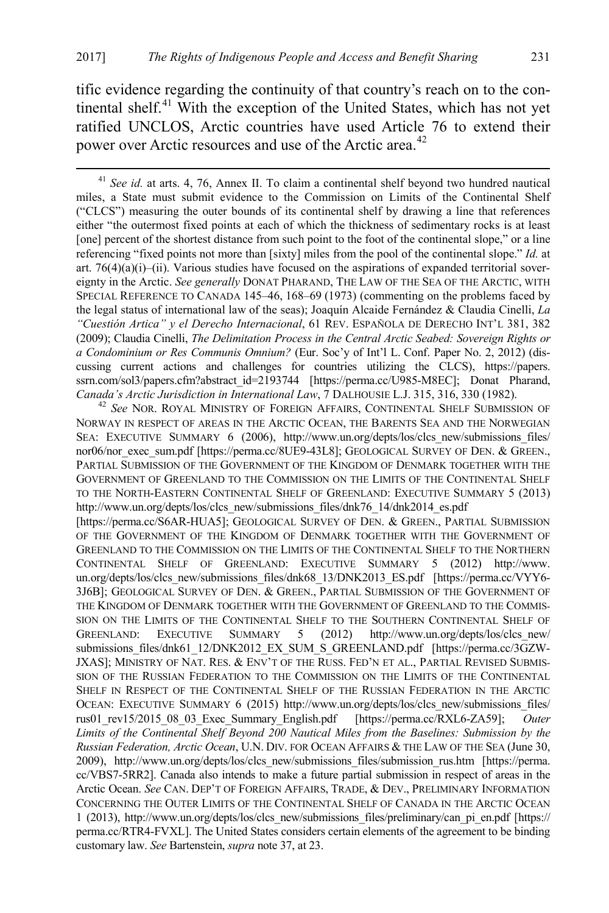tific evidence regarding the continuity of that country's reach on to the con-tinental shelf.<sup>[41](#page-9-0)</sup> With the exception of the United States, which has not yet ratified UNCLOS, Arctic countries have used Article 76 to extend their power over Arctic resources and use of the Arctic area.<sup>[42](#page-9-1)</sup>

<span id="page-9-0"></span> 41 *See id.* at arts. 4, 76, Annex II. To claim a continental shelf beyond two hundred nautical miles, a State must submit evidence to the Commission on Limits of the Continental Shelf ("CLCS") measuring the outer bounds of its continental shelf by drawing a line that references either "the outermost fixed points at each of which the thickness of sedimentary rocks is at least [one] percent of the shortest distance from such point to the foot of the continental slope," or a line referencing "fixed points not more than [sixty] miles from the pool of the continental slope." *Id.* at art.  $76(4)(a)(i)$ –(ii). Various studies have focused on the aspirations of expanded territorial sovereignty in the Arctic. *See generally* DONAT PHARAND, THE LAW OF THE SEA OF THE ARCTIC, WITH SPECIAL REFERENCE TO CANADA 145–46, 168–69 (1973) (commenting on the problems faced by the legal status of international law of the seas); Joaquín Alcaide Fernández & Claudia Cinelli, *La "Cuestión Artica" y el Derecho Internacional*, 61 REV. ESPAÑOLA DE DERECHO INT'L 381, 382 (2009); Claudia Cinelli, *The Delimitation Process in the Central Arctic Seabed: Sovereign Rights or a Condominium or Res Communis Omnium?* (Eur. Soc'y of Int'l L. Conf. Paper No. 2, 2012) (discussing current actions and challenges for countries utilizing the CLCS), https://papers. ssrn.com/sol3/papers.cfm?abstract\_id=2193744 [https://perma.cc/U985-M8EC]; Donat Pharand,

<span id="page-9-1"></span>*Canada's Arctic Jurisdiction in International Law*, 7 DALHOUSIE L.J. 315, 316, 330 (1982). <sup>42</sup> *See* NOR. ROYAL MINISTRY OF FOREIGN AFFAIRS, CONTINENTAL SHELF SUBMISSION OF NORWAY IN RESPECT OF AREAS IN THE ARCTIC OCEAN, THE BARENTS SEA AND THE NORWEGIAN SEA: EXECUTIVE SUMMARY 6 (2006), http://www.un.org/depts/los/clcs\_new/submissions\_files/ nor06/nor\_exec\_sum.pdf [https://perma.cc/8UE9-43L8]; GEOLOGICAL SURVEY OF DEN. & GREEN., PARTIAL SUBMISSION OF THE GOVERNMENT OF THE KINGDOM OF DENMARK TOGETHER WITH THE GOVERNMENT OF GREENLAND TO THE COMMISSION ON THE LIMITS OF THE CONTINENTAL SHELF TO THE NORTH-EASTERN CONTINENTAL SHELF OF GREENLAND: EXECUTIVE SUMMARY 5 (2013) http://www.un.org/depts/los/clcs\_new/submissions\_files/dnk76\_14/dnk2014\_es.pdf

[https://perma.cc/S6AR-HUA5]; GEOLOGICAL SURVEY OF DEN. & GREEN., PARTIAL SUBMISSION OF THE GOVERNMENT OF THE KINGDOM OF DENMARK TOGETHER WITH THE GOVERNMENT OF GREENLAND TO THE COMMISSION ON THE LIMITS OF THE CONTINENTAL SHELF TO THE NORTHERN CONTINENTAL SHELF OF GREENLAND: EXECUTIVE SUMMARY 5 (2012) http://www. un.org/depts/los/clcs\_new/submissions\_files/dnk68\_13/DNK2013\_ES.pdf [https://perma.cc/VYY6-3J6B]; GEOLOGICAL SURVEY OF DEN. & GREEN., PARTIAL SUBMISSION OF THE GOVERNMENT OF THE KINGDOM OF DENMARK TOGETHER WITH THE GOVERNMENT OF GREENLAND TO THE COMMIS-SION ON THE LIMITS OF THE CONTINENTAL SHELF TO THE SOUTHERN CONTINENTAL SHELF OF GREENLAND: EXECUTIVE SUMMARY 5 (2012) http://www.un.org/depts/los/clcs\_new/ submissions\_files/dnk61\_12/DNK2012\_EX\_SUM\_S\_GREENLAND.pdf [https://perma.cc/3GZW-JXAS]; MINISTRY OF NAT. RES. & ENV'T OF THE RUSS. FED'N ET AL., PARTIAL REVISED SUBMIS-SION OF THE RUSSIAN FEDERATION TO THE COMMISSION ON THE LIMITS OF THE CONTINENTAL SHELF IN RESPECT OF THE CONTINENTAL SHELF OF THE RUSSIAN FEDERATION IN THE ARCTIC OCEAN: EXECUTIVE SUMMARY 6 (2015) http://www.un.org/depts/los/clcs\_new/submissions\_files/ rus01\_rev15/2015\_08\_03\_Exec\_Summary\_English.pdf [https://perma.cc/RXL6-ZA59]; *Outer Limits of the Continental Shelf Beyond 200 Nautical Miles from the Baselines: Submission by the Russian Federation, Arctic Ocean*, U.N. DIV. FOR OCEAN AFFAIRS & THE LAW OF THE SEA (June 30, 2009), http://www.un.org/depts/los/clcs\_new/submissions\_files/submission\_rus.htm [https://perma. cc/VBS7-5RR2]. Canada also intends to make a future partial submission in respect of areas in the Arctic Ocean. *See* CAN. DEP'T OF FOREIGN AFFAIRS, TRADE, & DEV., PRELIMINARY INFORMATION CONCERNING THE OUTER LIMITS OF THE CONTINENTAL SHELF OF CANADA IN THE ARCTIC OCEAN 1 (2013), http://www.un.org/depts/los/clcs\_new/submissions\_files/preliminary/can\_pi\_en.pdf [https:// perma.cc/RTR4-FVXL]. The United States considers certain elements of the agreement to be binding customary law. *See* Bartenstein, *supra* note [37,](#page-8-1) at 23.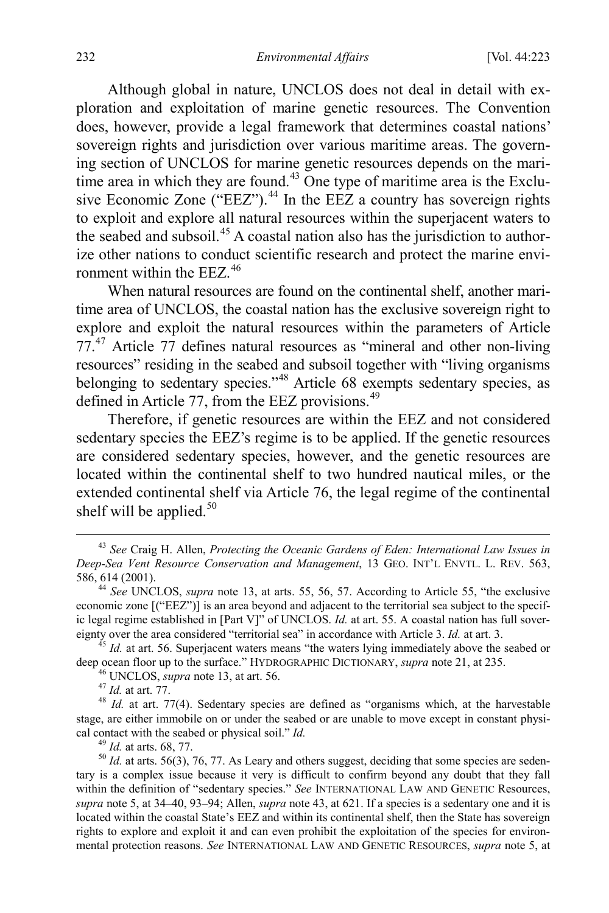<span id="page-10-0"></span>Although global in nature, UNCLOS does not deal in detail with exploration and exploitation of marine genetic resources. The Convention does, however, provide a legal framework that determines coastal nations' sovereign rights and jurisdiction over various maritime areas. The governing section of UNCLOS for marine genetic resources depends on the mari-time area in which they are found.<sup>[43](#page-10-1)</sup> One type of maritime area is the Exclusive Economic Zone ("EEZ"). $^{44}$  $^{44}$  $^{44}$  In the EEZ a country has sovereign rights to exploit and explore all natural resources within the superjacent waters to the seabed and subsoil.[45](#page-10-3) A coastal nation also has the jurisdiction to authorize other nations to conduct scientific research and protect the marine environment within the EEZ.[46](#page-10-4)

When natural resources are found on the continental shelf, another maritime area of UNCLOS, the coastal nation has the exclusive sovereign right to explore and exploit the natural resources within the parameters of Article 77.[47](#page-10-5) Article 77 defines natural resources as "mineral and other non-living resources" residing in the seabed and subsoil together with "living organisms belonging to sedentary species."<sup>[48](#page-10-6)</sup> Article 68 exempts sedentary species, as defined in Article 77, from the EEZ provisions.<sup>[49](#page-10-7)</sup>

Therefore, if genetic resources are within the EEZ and not considered sedentary species the EEZ's regime is to be applied. If the genetic resources are considered sedentary species, however, and the genetic resources are located within the continental shelf to two hundred nautical miles, or the extended continental shelf via Article 76, the legal regime of the continental shelf will be applied. $50$ 

<span id="page-10-9"></span><span id="page-10-1"></span> <sup>43</sup> *See* Craig H. Allen, *Protecting the Oceanic Gardens of Eden: International Law Issues in Deep-Sea Vent Resource Conservation and Management*, 13 GEO. INT'L ENVTL. L. REV. 563, 586, 614 (2001). <sup>44</sup> *See* UNCLOS, *supra* note [13,](#page-4-7) at arts. 55, 56, 57. According to Article 55, "the exclusive

<span id="page-10-2"></span>economic zone [("EEZ")] is an area beyond and adjacent to the territorial sea subject to the specific legal regime established in [Part V]" of UNCLOS. *Id.* at art. 55. A coastal nation has full sover-<br>eignty over the area considered "territorial sea" in accordance with Article 3. *Id.* at art. 3.

<span id="page-10-4"></span><span id="page-10-3"></span> $^{45}$  *Id.* at art. 56. Superjacent waters means "the waters lying immediately above the seabed or deep ocean floor up to the surface." HYDROGRAPHIC DICTIONARY, *supra* note [21,](#page-6-7) at 235.<br><sup>46</sup> UNCLOS, *supra* note [13,](#page-4-7) at art. 56.<br><sup>47</sup> Id. at art. 77.<br><sup>48</sup> Id. at art. 77(4). Sedentary species are defined as "organisms whic

<span id="page-10-6"></span><span id="page-10-5"></span>stage, are either immobile on or under the seabed or are unable to move except in constant physical contact with the seabed or physical soil." *Id.*<br><sup>49</sup> *Id.* at arts. 68, 77.<br><sup>50</sup> *Id.* at arts. 56(3), 76, 77. As Leary and others suggest, deciding that some species are seden-

<span id="page-10-8"></span><span id="page-10-7"></span>tary is a complex issue because it very is difficult to confirm beyond any doubt that they fall within the definition of "sedentary species." *See* INTERNATIONAL LAW AND GENETIC Resources, *supra* not[e 5,](#page-2-4) at 34–40, 93–94; Allen, *supra* note [43,](#page-10-0) at 621. If a species is a sedentary one and it is located within the coastal State's EEZ and within its continental shelf, then the State has sovereign rights to explore and exploit it and can even prohibit the exploitation of the species for environmental protection reasons. *See* INTERNATIONAL LAW AND GENETIC RESOURCES, *supra* note [5,](#page-2-4) at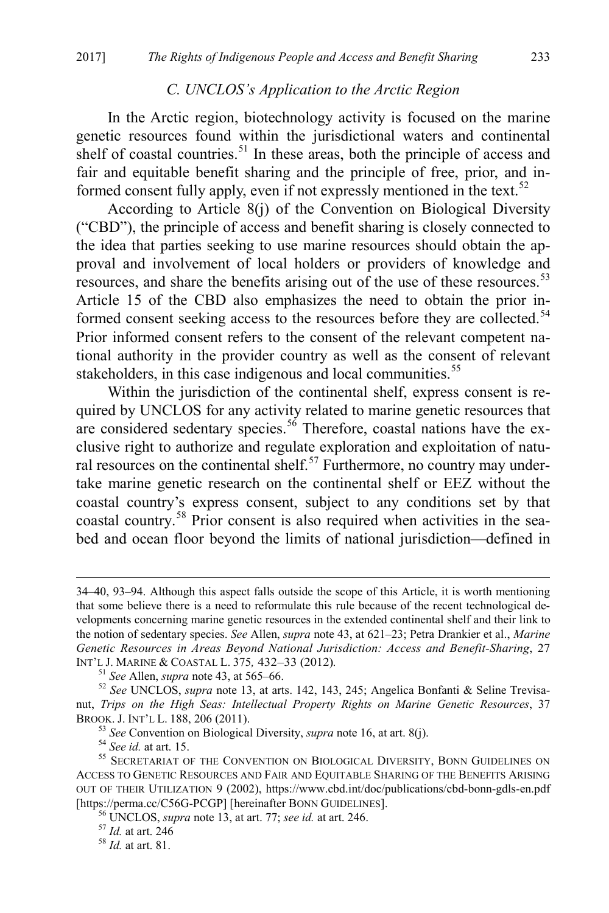#### <span id="page-11-8"></span>*C. UNCLOS's Application to the Arctic Region*

In the Arctic region, biotechnology activity is focused on the marine genetic resources found within the jurisdictional waters and continental shelf of coastal countries.<sup>[51](#page-11-0)</sup> In these areas, both the principle of access and fair and equitable benefit sharing and the principle of free, prior, and in-formed consent fully apply, even if not expressly mentioned in the text.<sup>[52](#page-11-1)</sup>

According to Article 8(j) of the Convention on Biological Diversity ("CBD"), the principle of access and benefit sharing is closely connected to the idea that parties seeking to use marine resources should obtain the approval and involvement of local holders or providers of knowledge and resources, and share the benefits arising out of the use of these resources.<sup>[53](#page-11-2)</sup> Article 15 of the CBD also emphasizes the need to obtain the prior in-formed consent seeking access to the resources before they are collected.<sup>[54](#page-11-3)</sup> Prior informed consent refers to the consent of the relevant competent national authority in the provider country as well as the consent of relevant stakeholders, in this case indigenous and local communities.<sup>[55](#page-11-4)</sup>

<span id="page-11-9"></span>Within the jurisdiction of the continental shelf, express consent is required by UNCLOS for any activity related to marine genetic resources that are considered sedentary species.<sup>[56](#page-11-5)</sup> Therefore, coastal nations have the exclusive right to authorize and regulate exploration and exploitation of natu-ral resources on the continental shelf.<sup>[57](#page-11-6)</sup> Furthermore, no country may undertake marine genetic research on the continental shelf or EEZ without the coastal country's express consent, subject to any conditions set by that coastal country. [58](#page-11-7) Prior consent is also required when activities in the seabed and ocean floor beyond the limits of national jurisdiction—defined in

 <sup>34–40, 93–94.</sup> Although this aspect falls outside the scope of this Article, it is worth mentioning that some believe there is a need to reformulate this rule because of the recent technological developments concerning marine genetic resources in the extended continental shelf and their link to the notion of sedentary species. *See* Allen, *supra* not[e 43,](#page-10-0) at 621–23; Petra Drankier et al., *Marine Genetic Resources in Areas Beyond National Jurisdiction: Access and Benefit-Sharing*, 27 INT'L J. MARINE & COASTAL L. <sup>375</sup>*,* 432–33 (2012). 51 *See* Allen, *supra* note [43,](#page-10-0) at 565–66. <sup>52</sup> *See* UNCLOS, *supra* not[e 13,](#page-4-7) at arts. 142, 143, 245; Angelica Bonfanti & Seline Trevisa-

<span id="page-11-1"></span><span id="page-11-0"></span>nut, *Trips on the High Seas: Intellectual Property Rights on Marine Genetic Resources*, 37 BROOK. J. INT'L L. 188, 206 (2011).<br>
<sup>53</sup> See Convention on Biological Diversity, *supra* not[e 16,](#page-5-5) at art. 8(j).<br>
<sup>54</sup> See id. at art. 15.<br>
<sup>55</sup> SECRETARIAT OF THE CONVENTION ON BIOLOGICAL DIVERSITY, BONN GUIDELINES ON

<span id="page-11-5"></span><span id="page-11-4"></span><span id="page-11-3"></span><span id="page-11-2"></span>ACCESS TO GENETIC RESOURCES AND FAIR AND EQUITABLE SHARING OF THE BENEFITS ARISING OUT OF THEIR UTILIZATION 9 (2002), https://www.cbd.int/doc/publications/cbd-bonn-gdls-en.pdf<br>[https://perma.cc/C56G-PCGP] [hereinafter BONN GUIDELINES].

<span id="page-11-6"></span><sup>&</sup>lt;sup>56</sup> UNCLOS, *supra* note [13,](#page-4-7) at art. 77; *see id.* at art. 246. <sup>57</sup> *Id.* at art. 246<br><sup>58</sup> *Id.* at art. 81.

<span id="page-11-7"></span>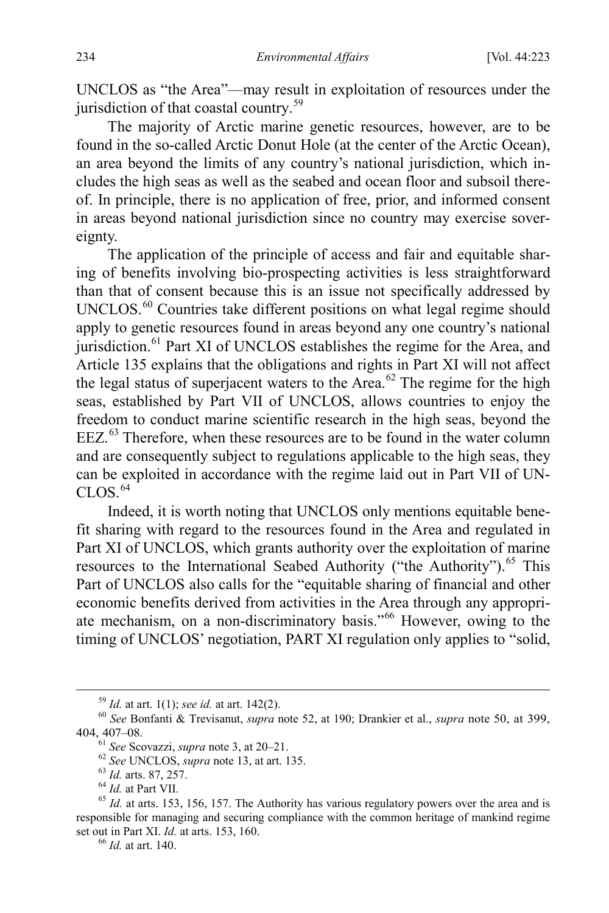UNCLOS as "the Area"—may result in exploitation of resources under the jurisdiction of that coastal country.<sup>[59](#page-12-0)</sup>

The majority of Arctic marine genetic resources, however, are to be found in the so-called Arctic Donut Hole (at the center of the Arctic Ocean), an area beyond the limits of any country's national jurisdiction, which includes the high seas as well as the seabed and ocean floor and subsoil thereof. In principle, there is no application of free, prior, and informed consent in areas beyond national jurisdiction since no country may exercise sovereignty.

The application of the principle of access and fair and equitable sharing of benefits involving bio-prospecting activities is less straightforward than that of consent because this is an issue not specifically addressed by UNCLOS.<sup>[60](#page-12-1)</sup> Countries take different positions on what legal regime should apply to genetic resources found in areas beyond any one country's national jurisdiction.<sup>[61](#page-12-2)</sup> Part XI of UNCLOS establishes the regime for the Area, and Article 135 explains that the obligations and rights in Part XI will not affect the legal status of superjacent waters to the Area.<sup>[62](#page-12-3)</sup> The regime for the high seas, established by Part VII of UNCLOS, allows countries to enjoy the freedom to conduct marine scientific research in the high seas, beyond the EEZ.[63](#page-12-4) Therefore, when these resources are to be found in the water column and are consequently subject to regulations applicable to the high seas, they can be exploited in accordance with the regime laid out in Part VII of UN- $CLOS<sup>64</sup>$  $CLOS<sup>64</sup>$  $CLOS<sup>64</sup>$ 

Indeed, it is worth noting that UNCLOS only mentions equitable benefit sharing with regard to the resources found in the Area and regulated in Part XI of UNCLOS, which grants authority over the exploitation of marine resources to the International Seabed Authority ("the Authority").<sup>[65](#page-12-6)</sup> This Part of UNCLOS also calls for the "equitable sharing of financial and other economic benefits derived from activities in the Area through any appropriate mechanism, on a non-discriminatory basis."[66](#page-12-7) However, owing to the timing of UNCLOS' negotiation, PART XI regulation only applies to "solid,

<span id="page-12-2"></span><span id="page-12-1"></span><span id="page-12-0"></span><sup>59</sup> *Id.* at art. 1(1); *see id.* at art. 142(2). <sup>60</sup> *See* Bonfanti & Trevisanut, *supra* note [52,](#page-11-8) at 190; Drankier et al., *supra* note [50,](#page-10-9) at 399, 404, 407–08.<br>
<sup>61</sup> See Scovazzi, *supra* not[e 3,](#page-2-5) at 20–21.<br>
<sup>62</sup> See UNCLOS, *supra* note 13, at art. 135.<br>
<sup>63</sup> Id. at sts. 87, 257.<br>
<sup>64</sup> Id. at Part VII.<br>
<sup>65</sup> Id. at arts. 153, 156, 157. The Authority has various regu

<span id="page-12-7"></span><span id="page-12-6"></span><span id="page-12-5"></span><span id="page-12-4"></span><span id="page-12-3"></span>responsible for managing and securing compliance with the common heritage of mankind regime set out in Part XI. *Id.* at arts. 153, 160.<br><sup>66</sup> *Id.* at art. 140.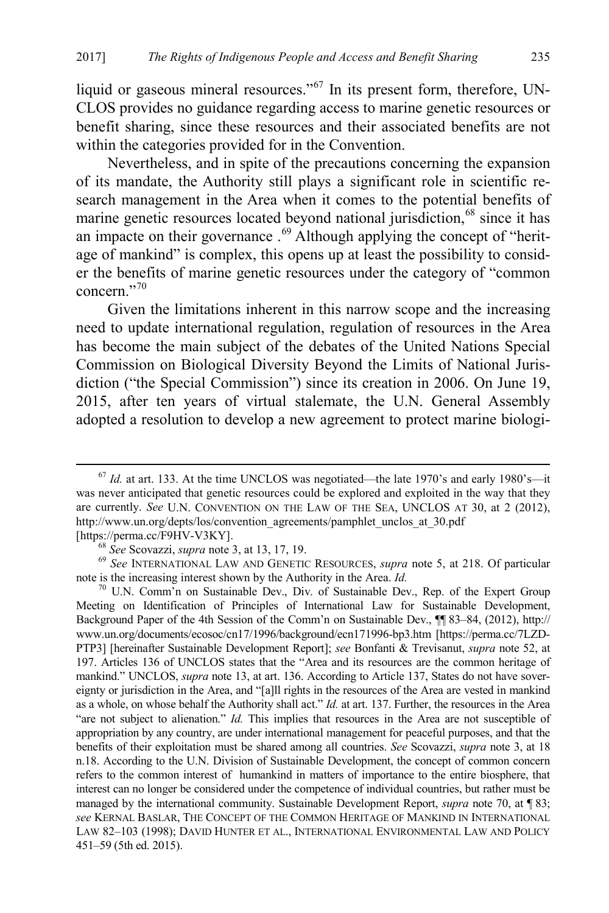liquid or gaseous mineral resources."<sup>[67](#page-13-1)</sup> In its present form, therefore, UN-CLOS provides no guidance regarding access to marine genetic resources or benefit sharing, since these resources and their associated benefits are not within the categories provided for in the Convention.

Nevertheless, and in spite of the precautions concerning the expansion of its mandate, the Authority still plays a significant role in scientific research management in the Area when it comes to the potential benefits of marine genetic resources located beyond national jurisdiction,<sup>[68](#page-13-2)</sup> since it has an impacte on their governance .<sup>[69](#page-13-3)</sup> Although applying the concept of "heritage of mankind" is complex, this opens up at least the possibility to consider the benefits of marine genetic resources under the category of "common concern<sup>"[70](#page-13-4)</sup>

<span id="page-13-0"></span>Given the limitations inherent in this narrow scope and the increasing need to update international regulation, regulation of resources in the Area has become the main subject of the debates of the United Nations Special Commission on Biological Diversity Beyond the Limits of National Jurisdiction ("the Special Commission") since its creation in 2006. On June 19, 2015, after ten years of virtual stalemate, the U.N. General Assembly adopted a resolution to develop a new agreement to protect marine biologi-

<span id="page-13-1"></span> $67$  *Id.* at art. 133. At the time UNCLOS was negotiated—the late 1970's and early 1980's—it was never anticipated that genetic resources could be explored and exploited in the way that they are currently. *See* U.N. CONVENTION ON THE LAW OF THE SEA, UNCLOS AT 30, at 2 (2012), http://www.un.org/depts/los/convention\_agreements/pamphlet\_unclos\_at\_30.pdf

<span id="page-13-2"></span><sup>[</sup>https://perma.cc/F9HV-V3KY].<br>
<sup>68</sup> *See* Scovazzi, *supra* not[e 3,](#page-2-5) at 13, 17, 19.<br>
<sup>69</sup> *See* INTERNATIONAL LAW AND GENETIC RESOURCES, *supra* note [5,](#page-2-4) at 218. Of particular note is the increasing interest shown by the Aut

<span id="page-13-4"></span><span id="page-13-3"></span><sup>&</sup>lt;sup>70</sup> U.N. Comm'n on Sustainable Dev., Div. of Sustainable Dev., Rep. of the Expert Group Meeting on Identification of Principles of International Law for Sustainable Development, Background Paper of the 4th Session of the Comm'n on Sustainable Dev., ¶¶ 83–84, (2012), http:// www.un.org/documents/ecosoc/cn17/1996/background/ecn171996-bp3.htm [https://perma.cc/7LZD-PTP3] [hereinafter Sustainable Development Report]; *see* Bonfanti & Trevisanut, *supra* note [52,](#page-11-8) at 197. Articles 136 of UNCLOS states that the "Area and its resources are the common heritage of mankind." UNCLOS, *supra* note [13,](#page-4-7) at art. 136. According to Article 137, States do not have sovereignty or jurisdiction in the Area, and "[a]ll rights in the resources of the Area are vested in mankind as a whole, on whose behalf the Authority shall act." *Id.* at art. 137. Further, the resources in the Area "are not subject to alienation." *Id.* This implies that resources in the Area are not susceptible of appropriation by any country, are under international management for peaceful purposes, and that the benefits of their exploitation must be shared among all countries. *See* Scovazzi, *supra* note [3,](#page-2-5) at 18 n.18. According to the U.N. Division of Sustainable Development, the concept of common concern refers to the common interest of humankind in matters of importance to the entire biosphere, that interest can no longer be considered under the competence of individual countries, but rather must be managed by the international community. Sustainable Development Report, *supra* note [70,](#page-13-0) at ¶ 83; *see* KERNAL BASLAR, THE CONCEPT OF THE COMMON HERITAGE OF MANKIND IN INTERNATIONAL LAW 82–103 (1998); DAVID HUNTER ET AL., INTERNATIONAL ENVIRONMENTAL LAW AND POLICY 451–59 (5th ed. 2015).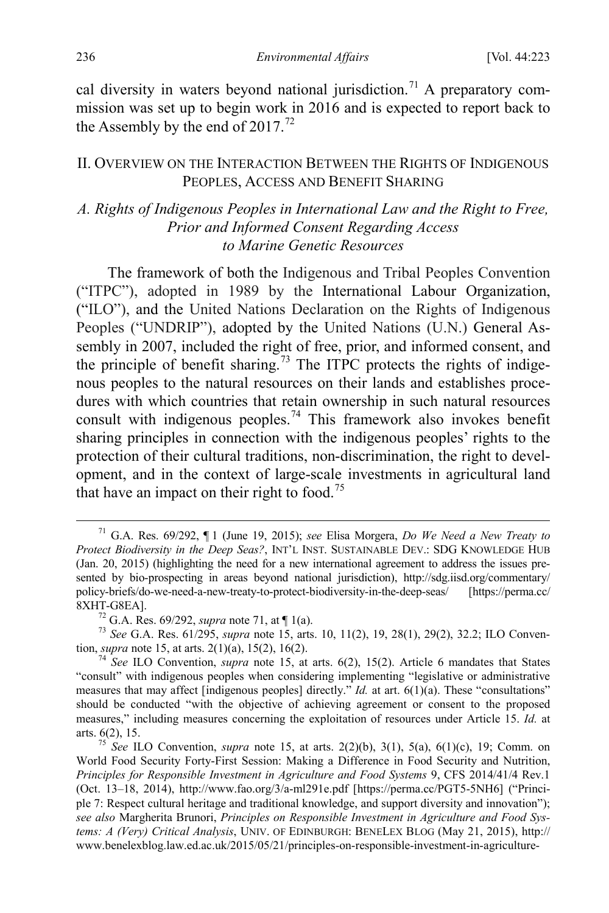<span id="page-14-2"></span>cal diversity in waters beyond national jurisdiction.<sup>[71](#page-14-3)</sup> A preparatory commission was set up to begin work in 2016 and is expected to report back to the Assembly by the end of  $2017<sup>72</sup>$  $2017<sup>72</sup>$  $2017<sup>72</sup>$ 

#### <span id="page-14-0"></span>II. OVERVIEW ON THE INTERACTION BETWEEN THE RIGHTS OF INDIGENOUS PEOPLES, ACCESS AND BENEFIT SHARING

# *A. Rights of Indigenous Peoples in International Law and the Right to Free, Prior and Informed Consent Regarding Access to Marine Genetic Resources*

<span id="page-14-1"></span>The framework of both the Indigenous and Tribal Peoples Convention ("ITPC"), adopted in 1989 by the International Labour Organization, ("ILO"), and the United Nations Declaration on the Rights of Indigenous Peoples ("UNDRIP"), adopted by the United Nations (U.N.) General Assembly in 2007, included the right of free, prior, and informed consent, and the principle of benefit sharing.<sup>[73](#page-14-5)</sup> The ITPC protects the rights of indigenous peoples to the natural resources on their lands and establishes procedures with which countries that retain ownership in such natural resources consult with indigenous peoples.<sup>[74](#page-14-6)</sup> This framework also invokes benefit sharing principles in connection with the indigenous peoples' rights to the protection of their cultural traditions, non-discrimination, the right to development, and in the context of large-scale investments in agricultural land that have an impact on their right to food.<sup>[75](#page-14-7)</sup>

<span id="page-14-4"></span>8XHT-G8EA].<br><sup>72</sup> G.A. Res. 69/292, *supra* not[e 71,](#page-14-2) at  $\P$  1(a).<br><sup>73</sup> *See* G.A. Res. 61/295, *supra* note [15,](#page-4-8) arts. 10, 11(2), 19, 28(1), 29(2), 32.2; ILO Conven-<br>tion, *supra* note 15, at arts. 2(1)(a), 15(2), 16(2).

<span id="page-14-3"></span> <sup>71</sup> G.A. Res. 69/292, ¶ 1 (June 19, 2015); *see* Elisa Morgera, *Do We Need a New Treaty to Protect Biodiversity in the Deep Seas?*, INT'L INST. SUSTAINABLE DEV.: SDG KNOWLEDGE HUB (Jan. 20, 2015) (highlighting the need for a new international agreement to address the issues presented by bio-prospecting in areas beyond national jurisdiction), http://sdg.iisd.org/commentary/ policy-briefs/do-we-need-a-new-treaty-to-protect-biodiversity-in-the-deep-seas/ [https://perma.cc/

<span id="page-14-6"></span><span id="page-14-5"></span><sup>&</sup>lt;sup>74</sup> *See* ILO Convention, *supra* not[e 15,](#page-4-8) at arts. 6(2), 15(2). Article 6 mandates that States "consult" with indigenous peoples when considering implementing "legislative or administrative measures that may affect [indigenous peoples] directly." *Id.* at art. 6(1)(a). These "consultations" should be conducted "with the objective of achieving agreement or consent to the proposed measures," including measures concerning the exploitation of resources under Article 15. *Id.* at arts. 6(2), 15. <sup>75</sup> *See* ILO Convention, *supra* note [15,](#page-4-8) at arts. 2(2)(b), 3(1), 5(a), 6(1)(c), 19; Comm. on

<span id="page-14-7"></span>World Food Security Forty-First Session: Making a Difference in Food Security and Nutrition, *Principles for Responsible Investment in Agriculture and Food Systems* 9, CFS 2014/41/4 Rev.1 (Oct. 13–18, 2014), http://www.fao.org/3/a-ml291e.pdf [https://perma.cc/PGT5-5NH6] ("Principle 7: Respect cultural heritage and traditional knowledge, and support diversity and innovation"); *see also* Margherita Brunori, *Principles on Responsible Investment in Agriculture and Food Systems: A (Very) Critical Analysis*, UNIV. OF EDINBURGH: BENELEX BLOG (May 21, 2015), http:// www.benelexblog.law.ed.ac.uk/2015/05/21/principles-on-responsible-investment-in-agriculture-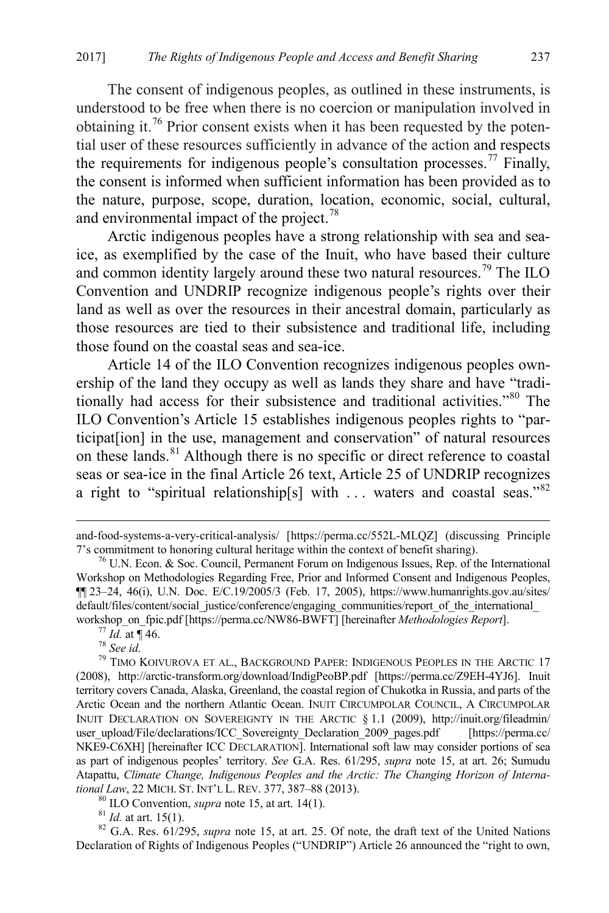<span id="page-15-8"></span>The consent of indigenous peoples, as outlined in these instruments, is understood to be free when there is no coercion or manipulation involved in obtaining it.[76](#page-15-0) Prior consent exists when it has been requested by the potential user of these resources sufficiently in advance of the action and respects the requirements for indigenous people's consultation processes.[77](#page-15-1) Finally, the consent is informed when sufficient information has been provided as to the nature, purpose, scope, duration, location, economic, social, cultural, and environmental impact of the project.<sup>[78](#page-15-2)</sup>

<span id="page-15-7"></span>Arctic indigenous peoples have a strong relationship with sea and seaice, as exemplified by the case of the Inuit, who have based their culture and common identity largely around these two natural resources.<sup>[79](#page-15-3)</sup> The ILO Convention and UNDRIP recognize indigenous people's rights over their land as well as over the resources in their ancestral domain, particularly as those resources are tied to their subsistence and traditional life, including those found on the coastal seas and sea-ice.

Article 14 of the ILO Convention recognizes indigenous peoples ownership of the land they occupy as well as lands they share and have "traditionally had access for their subsistence and traditional activities."[80](#page-15-4) The ILO Convention's Article 15 establishes indigenous peoples rights to "participat[ion] in the use, management and conservation" of natural resources on these lands.[81](#page-15-5) Although there is no specific or direct reference to coastal seas or sea-ice in the final Article 26 text, Article 25 of UNDRIP recognizes a right to "spiritual relationship[s] with ... waters and coastal seas."<sup>[82](#page-15-6)</sup>

<span id="page-15-6"></span><span id="page-15-5"></span><span id="page-15-4"></span>Declaration of Rights of Indigenous Peoples ("UNDRIP") Article 26 announced the "right to own,

and-food-systems-a-very-critical-analysis/ [https://perma.cc/552L-MLQZ] (discussing Principle 7's commitment to honoring cultural heritage within the context of benefit sharing).

<span id="page-15-0"></span> $\frac{76}{10}$  U.N. Econ. & Soc. Council, Permanent Forum on Indigenous Issues, Rep. of the International Workshop on Methodologies Regarding Free, Prior and Informed Consent and Indigenous Peoples,  $\P$ [23–24, 46(i), U.N. Doc. E/C.19/2005/3 (Feb. 17, 2005), https://www.humanrights.gov.au/sites/ default/files/content/social\_justice/conference/engaging\_communities/report\_of\_the\_international\_ workshop\_on\_fpic.pdf [https://perma.cc/NW86-BWFT] [hereinafter *Methodologies Report*].<br><sup>77</sup> *Id.* at ¶ 46.<br><sup>78</sup> *See id.* <sup>79</sup> TIMO KOIVUROVA ET AL., BACKGROUND PAPER: INDIGENOUS PEOPLES IN THE ARCTIC 17

<span id="page-15-3"></span><span id="page-15-2"></span><span id="page-15-1"></span><sup>(2008),</sup> http://arctic-transform.org/download/IndigPeoBP.pdf [https://perma.cc/Z9EH-4YJ6]. Inuit territory covers Canada, Alaska, Greenland, the coastal region of Chukotka in Russia, and parts of the Arctic Ocean and the northern Atlantic Ocean. INUIT CIRCUMPOLAR COUNCIL, A CIRCUMPOLAR INUIT DECLARATION ON SOVEREIGNTY IN THE ARCTIC § 1.1 (2009), http://inuit.org/fileadmin/ user\_upload/File/declarations/ICC\_Sovereignty\_Declaration\_2009\_pages.pdf [https://perma.cc/ NKE9-C6XH] [hereinafter ICC DECLARATION]. International soft law may consider portions of sea as part of indigenous peoples' territory. *See* G.A. Res. 61/295, *supra* note [15,](#page-4-8) at art. 26; Sumudu Atapattu, *Climate Change, Indigenous Peoples and the Arctic: The Changing Horizon of Interna*tional Law, 22 MICH. ST. INT'L L. REV. 377, 387–88 (2013).<br><sup>80</sup> ILO Convention, *supra* note [15,](#page-4-8) at art. 14(1).<br><sup>81</sup> Id. at art. 15(1).<br><sup>82</sup> G.A. Res. 61/295, *supra* note 15, at art. 25. Of note, the draft text of the Un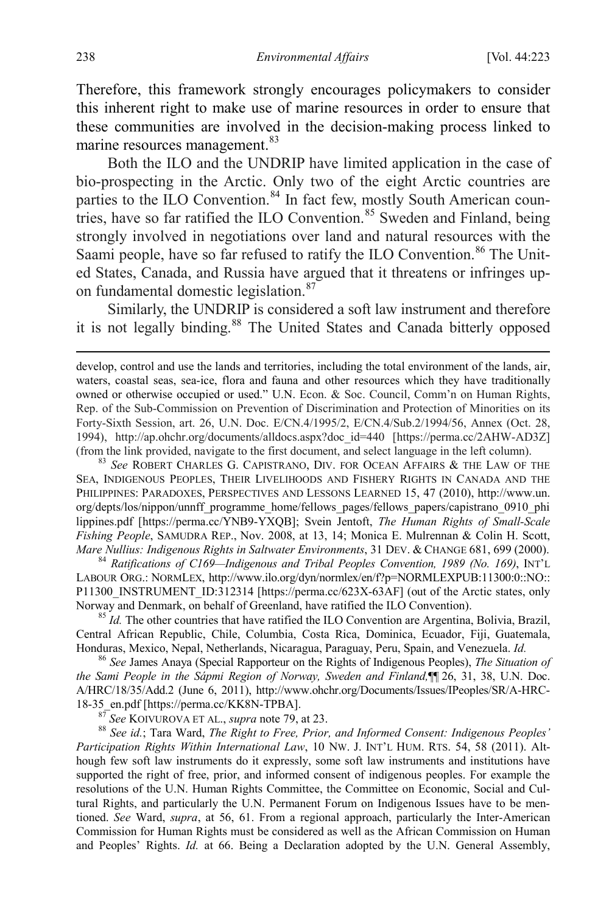Therefore, this framework strongly encourages policymakers to consider this inherent right to make use of marine resources in order to ensure that these communities are involved in the decision-making process linked to marine resources management.<sup>[83](#page-16-0)</sup>

Both the ILO and the UNDRIP have limited application in the case of bio-prospecting in the Arctic. Only two of the eight Arctic countries are parties to the ILO Convention.<sup>[84](#page-16-1)</sup> In fact few, mostly South American coun-tries, have so far ratified the ILO Convention.<sup>[85](#page-16-2)</sup> Sweden and Finland, being strongly involved in negotiations over land and natural resources with the Saami people, have so far refused to ratify the ILO Convention.<sup>[86](#page-16-3)</sup> The United States, Canada, and Russia have argued that it threatens or infringes up-on fundamental domestic legislation.<sup>[87](#page-16-4)</sup>

<span id="page-16-6"></span>Similarly, the UNDRIP is considered a soft law instrument and therefore it is not legally binding.<sup>[88](#page-16-5)</sup> The United States and Canada bitterly opposed

<span id="page-16-0"></span>SEA, INDIGENOUS PEOPLES, THEIR LIVELIHOODS AND FISHERY RIGHTS IN CANADA AND THE PHILIPPINES: PARADOXES, PERSPECTIVES AND LESSONS LEARNED 15, 47 (2010), http://www.un. org/depts/los/nippon/unnff\_programme\_home/fellows\_pages/fellows\_papers/capistrano\_0910\_phi lippines.pdf [https://perma.cc/YNB9-YXQB]; Svein Jentoft, *The Human Rights of Small-Scale Fishing People*, SAMUDRA REP., Nov. 2008, at 13, 14; Monica E. Mulrennan & Colin H. Scott, *Mare Nullius: Indigenous Rights in Saltwater Environments*, 31 DEV. & CHANGE 681, 699 (2000).

<span id="page-16-1"></span>*Mare Nullius: Indigenous Rights in Saltwater Environments*, 31 DEV. & CHANGE 681, 699 (2000). <sup>84</sup> *Ratifications of C169—Indigenous and Tribal Peoples Convention, 1989 (No. 169)*, INT'L LABOUR ORG.: NORMLEX, http://www.ilo.org/dyn/normlex/en/f?p=NORMLEXPUB:11300:0::NO:: P11300\_INSTRUMENT\_ID:312314 [https://perma.cc/623X-63AF] (out of the Arctic states, only Norway and Denmark, on behalf of Greenland, have ratified the ILO Convention). <sup>85</sup> *Id.* The other countries that have ratified the ILO Convention are Argentina, Bolivia, Brazil,

<span id="page-16-2"></span>Central African Republic, Chile, Columbia, Costa Rica, Dominica, Ecuador, Fiji, Guatemala, Honduras, Mexico, Nepal, Netherlands, Nicaragua, Paraguay, Peru, Spain, and Venezuela. *Id.* <sup>86</sup> *See* James Anaya (Special Rapporteur on the Rights of Indigenous Peoples), *The Situation of* 

<span id="page-16-3"></span>*the Sami People in the Sápmi Region of Norway, Sweden and Finland,*¶¶ 26, 31, 38, U.N. Doc. A/HRC/18/35/Add.2 (June 6, 2011), http://www.ohchr.org/Documents/Issues/IPeoples/SR/A-HRC-18-35 en.pdf [https://perma.cc/KK8N-TPBA].

<span id="page-16-5"></span><span id="page-16-4"></span><sup>87</sup> See KOIVUROVA ET AL., *supra* note [79,](#page-15-7) at 23. **88** *See id.*; Tara Ward, *The Right to Free, Prior, and Informed Consent: Indigenous Peoples' Ree id.*; Tara Ward, *The Right to Free, Prior, and Informed Consent: Ind Participation Rights Within International Law*, 10 NW. J. INT'L HUM. RTS. 54, 58 (2011). Although few soft law instruments do it expressly, some soft law instruments and institutions have supported the right of free, prior, and informed consent of indigenous peoples. For example the resolutions of the U.N. Human Rights Committee, the Committee on Economic, Social and Cultural Rights, and particularly the U.N. Permanent Forum on Indigenous Issues have to be mentioned. *See* Ward, *supra*, at 56, 61. From a regional approach, particularly the Inter-American Commission for Human Rights must be considered as well as the African Commission on Human and Peoples' Rights. *Id.* at 66. Being a Declaration adopted by the U.N. General Assembly,

develop, control and use the lands and territories, including the total environment of the lands, air, waters, coastal seas, sea-ice, flora and fauna and other resources which they have traditionally owned or otherwise occupied or used." U.N. Econ. & Soc. Council, Comm'n on Human Rights, Rep. of the Sub-Commission on Prevention of Discrimination and Protection of Minorities on its Forty-Sixth Session, art. 26, U.N. Doc. E/CN.4/1995/2, E/CN.4/Sub.2/1994/56, Annex (Oct. 28, 1994), http://ap.ohchr.org/documents/alldocs.aspx?doc\_id=440 [https://perma.cc/2AHW-AD3Z] (from the link provided, navigate to the first document, and select language in the left column). <sup>83</sup> *See* ROBERT CHARLES G. CAPISTRANO, DIV. FOR OCEAN AFFAIRS & THE LAW OF THE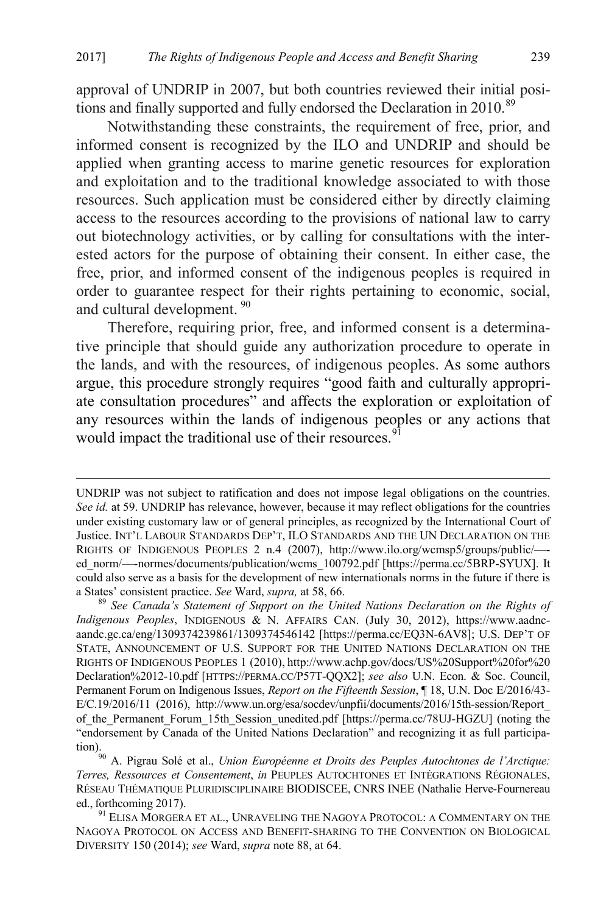approval of UNDRIP in 2007, but both countries reviewed their initial posi-tions and finally supported and fully endorsed the Declaration in 2010.<sup>[89](#page-17-0)</sup>

Notwithstanding these constraints, the requirement of free, prior, and informed consent is recognized by the ILO and UNDRIP and should be applied when granting access to marine genetic resources for exploration and exploitation and to the traditional knowledge associated to with those resources. Such application must be considered either by directly claiming access to the resources according to the provisions of national law to carry out biotechnology activities, or by calling for consultations with the interested actors for the purpose of obtaining their consent. In either case, the free, prior, and informed consent of the indigenous peoples is required in order to guarantee respect for their rights pertaining to economic, social, and cultural development. [90](#page-17-1)

<span id="page-17-3"></span>Therefore, requiring prior, free, and informed consent is a determinative principle that should guide any authorization procedure to operate in the lands, and with the resources, of indigenous peoples. As some authors argue, this procedure strongly requires "good faith and culturally appropriate consultation procedures" and affects the exploration or exploitation of any resources within the lands of indigenous peoples or any actions that would impact the traditional use of their resources.<sup>[91](#page-17-2)</sup>

<span id="page-17-4"></span>UNDRIP was not subject to ratification and does not impose legal obligations on the countries. *See id.* at 59. UNDRIP has relevance, however, because it may reflect obligations for the countries under existing customary law or of general principles, as recognized by the International Court of Justice. INT'L LABOUR STANDARDS DEP'T, ILO STANDARDS AND THE UN DECLARATION ON THE RIGHTS OF INDIGENOUS PEOPLES 2 n.4 (2007), http://www.ilo.org/wcmsp5/groups/public/— ed\_norm/---normes/documents/publication/wcms\_100792.pdf [https://perma.cc/5BRP-SYUX]. It could also serve as a basis for the development of new internationals norms in the future if there is a States' consistent practice. *See* Ward, *supra*, at 58, 66. *b See Canada's Statement of Support on the United Nations Declaration on the Rights of support on the United Nations Declaration on the Rights of* 

<span id="page-17-0"></span>*Indigenous Peoples*, INDIGENOUS & N. AFFAIRS CAN. (July 30, 2012), https://www.aadncaandc.gc.ca/eng/1309374239861/1309374546142 [https://perma.cc/EQ3N-6AV8]; U.S. DEP'T OF STATE, ANNOUNCEMENT OF U.S. SUPPORT FOR THE UNITED NATIONS DECLARATION ON THE RIGHTS OF INDIGENOUS PEOPLES 1 (2010), http://www.achp.gov/docs/US%20Support%20for%20 Declaration%2012-10.pdf [HTTPS://PERMA.CC/P57T-QQX2]; *see also* U.N. Econ. & Soc. Council, Permanent Forum on Indigenous Issues, *Report on the Fifteenth Session*, ¶ 18, U.N. Doc E/2016/43- E/C.19/2016/11 (2016), http://www.un.org/esa/socdev/unpfii/documents/2016/15th-session/Report\_ of the Permanent Forum\_15th\_Session\_unedited.pdf [https://perma.cc/78UJ-HGZU] (noting the "endorsement by Canada of the United Nations Declaration" and recognizing it as full participa-

<span id="page-17-1"></span><sup>&</sup>lt;sup>50</sup> A. Pigrau Solé et al., *Union Européenne et Droits des Peuples Autochtones de l'Arctique: Terres, Ressources et Consentement*, *in* PEUPLES AUTOCHTONES ET INTÉGRATIONS RÉGIONALES, RÉSEAU THÉMATIQUE PLURIDISCIPLINAIRE BIODISCEE, CNRS INEE (Nathalie Herve-Fournereau ed., forthcoming 2017).

<span id="page-17-2"></span><sup>&</sup>lt;sup>91</sup> ELISA MORGERA ET AL., UNRAVELING THE NAGOYA PROTOCOL: A COMMENTARY ON THE NAGOYA PROTOCOL ON ACCESS AND BENEFIT-SHARING TO THE CONVENTION ON BIOLOGICAL DIVERSITY 150 (2014); *see* Ward, *supra* not[e 88,](#page-16-6) at 64.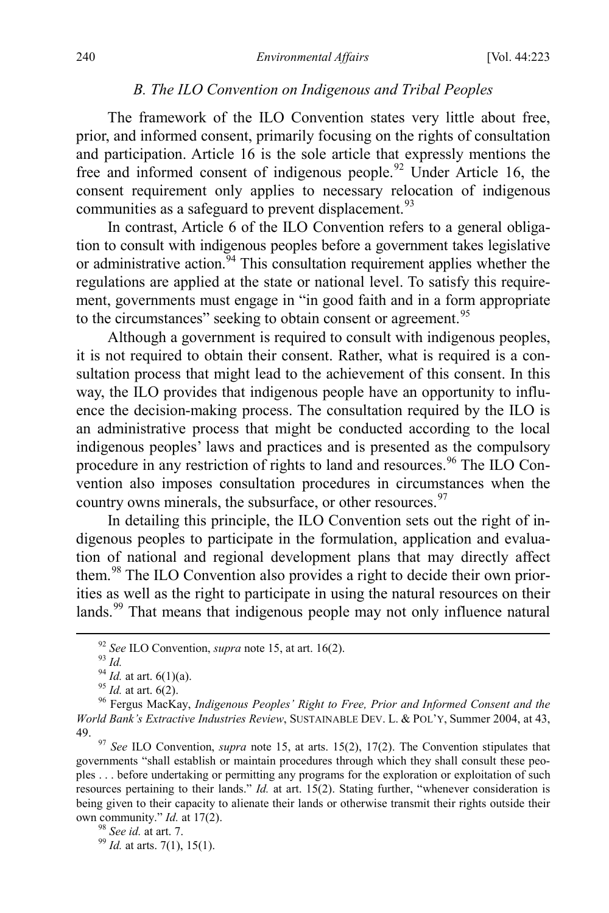#### *B. The ILO Convention on Indigenous and Tribal Peoples*

The framework of the ILO Convention states very little about free, prior, and informed consent, primarily focusing on the rights of consultation and participation. Article 16 is the sole article that expressly mentions the free and informed consent of indigenous people.<sup>[92](#page-18-0)</sup> Under Article 16, the consent requirement only applies to necessary relocation of indigenous communities as a safeguard to prevent displacement.<sup>[93](#page-18-1)</sup>

In contrast, Article 6 of the ILO Convention refers to a general obligation to consult with indigenous peoples before a government takes legislative or administrative action.<sup>[94](#page-18-2)</sup> This consultation requirement applies whether the regulations are applied at the state or national level. To satisfy this requirement, governments must engage in "in good faith and in a form appropriate to the circumstances" seeking to obtain consent or agreement.<sup>[95](#page-18-3)</sup>

Although a government is required to consult with indigenous peoples, it is not required to obtain their consent. Rather, what is required is a consultation process that might lead to the achievement of this consent. In this way, the ILO provides that indigenous people have an opportunity to influence the decision-making process. The consultation required by the ILO is an administrative process that might be conducted according to the local indigenous peoples' laws and practices and is presented as the compulsory procedure in any restriction of rights to land and resources.<sup>[96](#page-18-4)</sup> The ILO Convention also imposes consultation procedures in circumstances when the country owns minerals, the subsurface, or other resources.<sup>[97](#page-18-5)</sup>

In detailing this principle, the ILO Convention sets out the right of indigenous peoples to participate in the formulation, application and evaluation of national and regional development plans that may directly affect them.[98](#page-18-6) The ILO Convention also provides a right to decide their own priorities as well as the right to participate in using the natural resources on their lands.<sup>[99](#page-18-7)</sup> That means that indigenous people may not only influence natural

<span id="page-18-3"></span><span id="page-18-2"></span><span id="page-18-1"></span><span id="page-18-0"></span><sup>&</sup>lt;sup>92</sup> See ILO Convention, *supra* note [15,](#page-4-8) at art. 16(2).<br><sup>93</sup> Id.<br><sup>94</sup> Id. at art. 6(1)(a).<br><sup>95</sup> Id. at art. 6(2).<br><sup>95</sup> Fergus MacKay, *Indigenous Peoples' Right to Free, Prior and Informed Consent and the World Bank's Extractive Industries Review*, SUSTAINABLE DEV. L. & POL'Y, Summer 2004, at 43, 49. 97 *See* ILO Convention, *supra* note [15,](#page-4-8) at arts. 15(2), 17(2). The Convention stipulates that

<span id="page-18-5"></span><span id="page-18-4"></span>governments "shall establish or maintain procedures through which they shall consult these peoples . . . before undertaking or permitting any programs for the exploration or exploitation of such resources pertaining to their lands." *Id.* at art. 15(2). Stating further, "whenever consideration is being given to their capacity to alienate their lands or otherwise transmit their rights outside their own community." *Id.* at 17(2).<br><sup>98</sup> *See id.* at art. 7.<br><sup>99</sup> *Id.* at arts. 7(1), 15(1).

<span id="page-18-7"></span><span id="page-18-6"></span>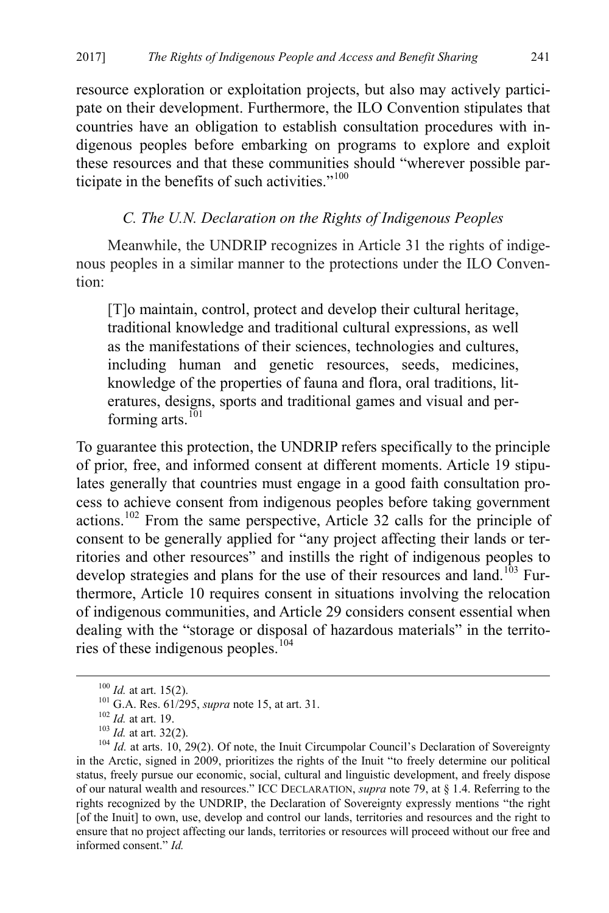resource exploration or exploitation projects, but also may actively participate on their development. Furthermore, the ILO Convention stipulates that countries have an obligation to establish consultation procedures with indigenous peoples before embarking on programs to explore and exploit these resources and that these communities should "wherever possible par-ticipate in the benefits of such activities."<sup>[100](#page-19-0)</sup>

# *C. The U.N. Declaration on the Rights of Indigenous Peoples*

Meanwhile, the UNDRIP recognizes in Article 31 the rights of indigenous peoples in a similar manner to the protections under the ILO Convention:

[T]o maintain, control, protect and develop their cultural heritage, traditional knowledge and traditional cultural expressions, as well as the manifestations of their sciences, technologies and cultures, including human and genetic resources, seeds, medicines, knowledge of the properties of fauna and flora, oral traditions, literatures, designs, sports and traditional games and visual and per-forming arts.<sup>[101](#page-19-1)</sup>

To guarantee this protection, the UNDRIP refers specifically to the principle of prior, free, and informed consent at different moments. Article 19 stipulates generally that countries must engage in a good faith consultation process to achieve consent from indigenous peoples before taking government actions.[102](#page-19-2) From the same perspective, Article 32 calls for the principle of consent to be generally applied for "any project affecting their lands or territories and other resources" and instills the right of indigenous peoples to develop strategies and plans for the use of their resources and land.<sup>[103](#page-19-3)</sup> Furthermore, Article 10 requires consent in situations involving the relocation of indigenous communities, and Article 29 considers consent essential when dealing with the "storage or disposal of hazardous materials" in the territories of these indigenous peoples. [104](#page-19-4)

<span id="page-19-4"></span><span id="page-19-3"></span><span id="page-19-2"></span><span id="page-19-1"></span><span id="page-19-0"></span><sup>&</sup>lt;sup>100</sup> *Id.* at art. 15(2).<br><sup>101</sup> G.A. Res. 61/295, *supra* note [15,](#page-4-8) at art. 31.<br><sup>102</sup> *Id.* at art. 19.<br><sup>103</sup> *Id.* at art. 32(2).<br><sup>104</sup> *Id.* at arts. 10, 29(2). Of note, the Inuit Circumpolar Council's Declaration of So in the Arctic, signed in 2009, prioritizes the rights of the Inuit "to freely determine our political status, freely pursue our economic, social, cultural and linguistic development, and freely dispose of our natural wealth and resources." ICC DECLARATION, *supra* note [79,](#page-15-7) at § 1.4. Referring to the rights recognized by the UNDRIP, the Declaration of Sovereignty expressly mentions "the right [of the Inuit] to own, use, develop and control our lands, territories and resources and the right to ensure that no project affecting our lands, territories or resources will proceed without our free and informed consent." *Id.*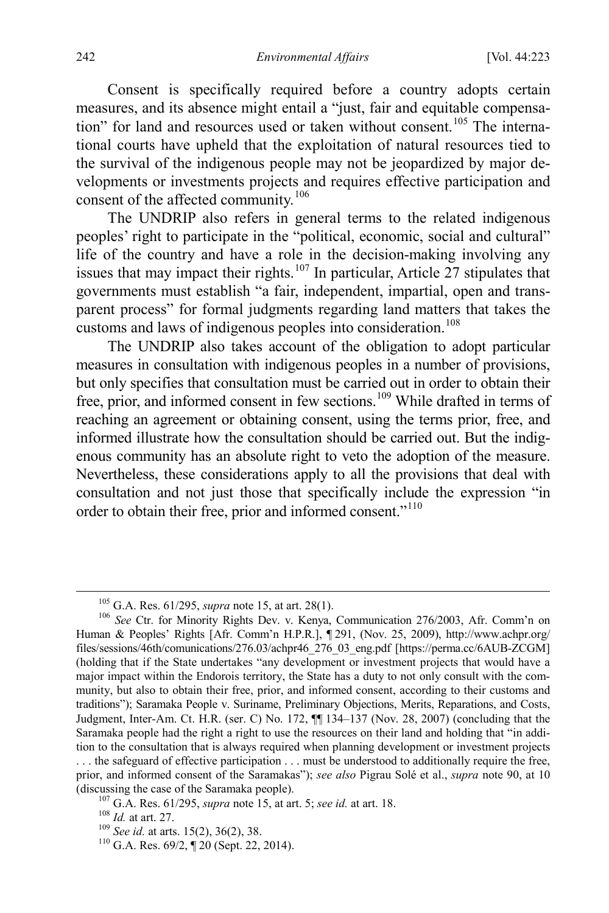Consent is specifically required before a country adopts certain measures, and its absence might entail a "just, fair and equitable compensa-tion" for land and resources used or taken without consent.<sup>[105](#page-20-1)</sup> The international courts have upheld that the exploitation of natural resources tied to the survival of the indigenous people may not be jeopardized by major developments or investments projects and requires effective participation and consent of the affected community.<sup>[106](#page-20-2)</sup>

The UNDRIP also refers in general terms to the related indigenous peoples' right to participate in the "political, economic, social and cultural" life of the country and have a role in the decision-making involving any issues that may impact their rights.<sup>[107](#page-20-3)</sup> In particular, Article 27 stipulates that governments must establish "a fair, independent, impartial, open and transparent process" for formal judgments regarding land matters that takes the customs and laws of indigenous peoples into consideration.<sup>[108](#page-20-4)</sup>

The UNDRIP also takes account of the obligation to adopt particular measures in consultation with indigenous peoples in a number of provisions, but only specifies that consultation must be carried out in order to obtain their free, prior, and informed consent in few sections.[109](#page-20-5) While drafted in terms of reaching an agreement or obtaining consent, using the terms prior, free, and informed illustrate how the consultation should be carried out. But the indigenous community has an absolute right to veto the adoption of the measure. Nevertheless, these considerations apply to all the provisions that deal with consultation and not just those that specifically include the expression "in order to obtain their free, prior and informed consent."<sup>[110](#page-20-6)</sup>

<span id="page-20-0"></span>

<span id="page-20-2"></span><span id="page-20-1"></span><sup>&</sup>lt;sup>105</sup> G.A. Res. 61/295, *supra* note [15,](#page-4-8) at art. 28(1).<br><sup>106</sup> *See* Ctr. for Minority Rights Dev. v. Kenya, Communication 276/2003, Afr. Comm'n on Human & Peoples' Rights [Afr. Comm'n H.P.R.], ¶ 291, (Nov. 25, 2009), http://www.achpr.org/ files/sessions/46th/comunications/276.03/achpr46\_276\_03\_eng.pdf [https://perma.cc/6AUB-ZCGM] (holding that if the State undertakes "any development or investment projects that would have a major impact within the Endorois territory, the State has a duty to not only consult with the community, but also to obtain their free, prior, and informed consent, according to their customs and traditions"); Saramaka People v. Suriname, Preliminary Objections, Merits, Reparations, and Costs, Judgment, Inter-Am. Ct. H.R. (ser. C) No. 172, ¶¶ 134–137 (Nov. 28, 2007) (concluding that the Saramaka people had the right a right to use the resources on their land and holding that "in addition to the consultation that is always required when planning development or investment projects

<span id="page-20-4"></span><span id="page-20-3"></span><sup>. . .</sup> the safeguard of effective participation . . . must be understood to additionally require the free, prior, and informed consent of the Saramakas"); *see also* Pigrau Solé et al., *supra* note [90,](#page-17-3) at 10 (discussing the case of the Saramaka people).<br>
<sup>107</sup> G.A. Res. 61/295, *supra* note [15,](#page-4-8) at art. 5; *see id.* at art. 18.<br>
<sup>108</sup> *Id.* at art. 27.<br>
<sup>109</sup> *See id.* at arts. 15(2), 36(2), 38.<br>
<sup>110</sup> G.A. Res. 69/2, ¶ 20 (Se

<span id="page-20-5"></span>

<span id="page-20-6"></span>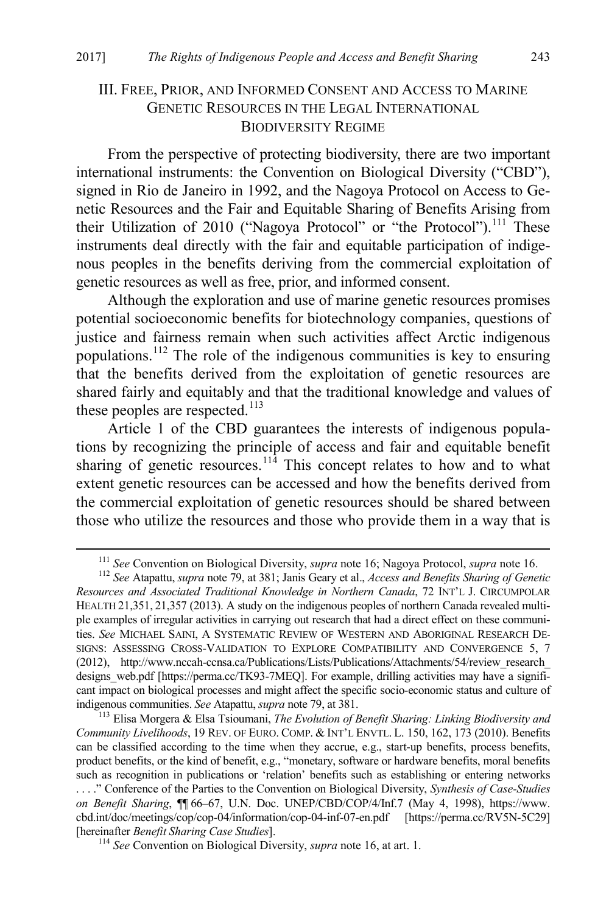# <span id="page-21-0"></span>III. FREE, PRIOR, AND INFORMED CONSENT AND ACCESS TO MARINE GENETIC RESOURCES IN THE LEGAL INTERNATIONAL BIODIVERSITY REGIME

From the perspective of protecting biodiversity, there are two important international instruments: the Convention on Biological Diversity ("CBD"), signed in Rio de Janeiro in 1992, and the Nagoya Protocol on Access to Genetic Resources and the Fair and Equitable Sharing of Benefits Arising from their Utilization of 2010 ("Nagoya Protocol" or "the Protocol").<sup>[111](#page-21-1)</sup> These instruments deal directly with the fair and equitable participation of indigenous peoples in the benefits deriving from the commercial exploitation of genetic resources as well as free, prior, and informed consent.

Although the exploration and use of marine genetic resources promises potential socioeconomic benefits for biotechnology companies, questions of justice and fairness remain when such activities affect Arctic indigenous populations.[112](#page-21-2) The role of the indigenous communities is key to ensuring that the benefits derived from the exploitation of genetic resources are shared fairly and equitably and that the traditional knowledge and values of these peoples are respected.<sup>[113](#page-21-3)</sup>

<span id="page-21-5"></span>Article 1 of the CBD guarantees the interests of indigenous populations by recognizing the principle of access and fair and equitable benefit sharing of genetic resources.<sup>[114](#page-21-4)</sup> This concept relates to how and to what extent genetic resources can be accessed and how the benefits derived from the commercial exploitation of genetic resources should be shared between those who utilize the resources and those who provide them in a way that is

<sup>&</sup>lt;sup>111</sup> See Convention on Biological Diversity, *supra* note 16; Nagoya Protocol, *supra* note 16.<br><sup>112</sup> See Atapattu, *supra* not[e 79,](#page-15-7) at 381; Janis Geary et al., *Access and Benefits Sharing of Genetic* 

<span id="page-21-2"></span><span id="page-21-1"></span>*Resources and Associated Traditional Knowledge in Northern Canada*, 72 INT'L J. CIRCUMPOLAR HEALTH 21,351, 21,357 (2013). A study on the indigenous peoples of northern Canada revealed multiple examples of irregular activities in carrying out research that had a direct effect on these communities. *See* MICHAEL SAINI, A SYSTEMATIC REVIEW OF WESTERN AND ABORIGINAL RESEARCH DE-SIGNS: ASSESSING CROSS-VALIDATION TO EXPLORE COMPATIBILITY AND CONVERGENCE 5, 7 (2012), http://www.nccah-ccnsa.ca/Publications/Lists/Publications/Attachments/54/review\_research\_ designs web.pdf [https://perma.cc/TK93-7MEQ]. For example, drilling activities may have a significant impact on biological processes and might affect the specific socio-economic status and culture of indigenous communities. See Atapattu, supra note 79, at 381.

<span id="page-21-3"></span><sup>&</sup>lt;sup>113</sup> Elisa Morgera & Elsa Tsioumani, *The Evolution of Benefit Sharing: Linking Biodiversity and Community Livelihoods*, 19 REV. OF EURO. COMP. & INT'L ENVTL. L. 150, 162, 173 (2010). Benefits can be classified according to the time when they accrue, e.g., start-up benefits, process benefits, product benefits, or the kind of benefit, e.g., "monetary, software or hardware benefits, moral benefits such as recognition in publications or 'relation' benefits such as establishing or entering networks . . . ." Conference of the Parties to the Convention on Biological Diversity, *Synthesis of Case-Studies on Benefit Sharing*, ¶¶ 66–67, U.N. Doc. UNEP/CBD/COP/4/Inf.7 (May 4, 1998), https://www. cbd.int/doc/meetings/cop/cop-04/information/cop-04-inf-07-en.pdf [https://perma.cc/RV5N-5C29] [hereinafter *Benefit Sharing Case Studies*]. 114 *See* Convention on Biological Diversity, *supra* not[e 16,](#page-5-5) at art. 1.

<span id="page-21-4"></span>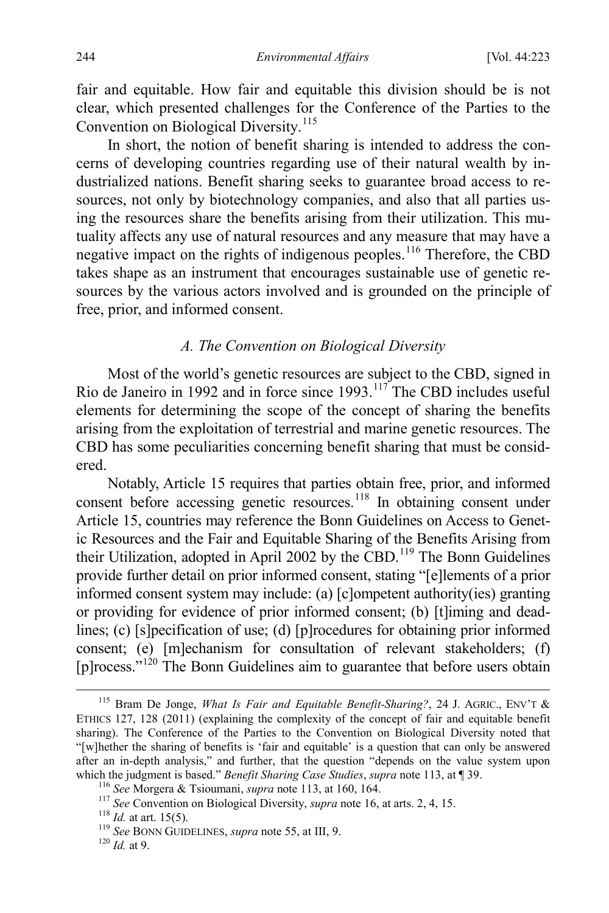fair and equitable. How fair and equitable this division should be is not clear, which presented challenges for the Conference of the Parties to the Convention on Biological Diversity.<sup>[115](#page-22-0)</sup>

<span id="page-22-6"></span>In short, the notion of benefit sharing is intended to address the concerns of developing countries regarding use of their natural wealth by industrialized nations. Benefit sharing seeks to guarantee broad access to resources, not only by biotechnology companies, and also that all parties using the resources share the benefits arising from their utilization. This mutuality affects any use of natural resources and any measure that may have a negative impact on the rights of indigenous peoples. [116](#page-22-1) Therefore, the CBD takes shape as an instrument that encourages sustainable use of genetic resources by the various actors involved and is grounded on the principle of free, prior, and informed consent.

#### *A. The Convention on Biological Diversity*

Most of the world's genetic resources are subject to the CBD, signed in Rio de Janeiro in 1992 and in force since 1993.<sup>[117](#page-22-2)</sup> The CBD includes useful elements for determining the scope of the concept of sharing the benefits arising from the exploitation of terrestrial and marine genetic resources. The CBD has some peculiarities concerning benefit sharing that must be considered.

Notably, Article 15 requires that parties obtain free, prior, and informed consent before accessing genetic resources.<sup>[118](#page-22-3)</sup> In obtaining consent under Article 15, countries may reference the Bonn Guidelines on Access to Genetic Resources and the Fair and Equitable Sharing of the Benefits Arising from their Utilization, adopted in April 2002 by the CBD.<sup>[119](#page-22-4)</sup> The Bonn Guidelines provide further detail on prior informed consent, stating "[e]lements of a prior informed consent system may include: (a) [c]ompetent authority(ies) granting or providing for evidence of prior informed consent; (b) [t]iming and deadlines; (c) [s]pecification of use; (d) [p]rocedures for obtaining prior informed consent; (e) [m]echanism for consultation of relevant stakeholders; (f) [p]rocess. $\cdot$ <sup>[120](#page-22-5)</sup> The Bonn Guidelines aim to guarantee that before users obtain

<span id="page-22-0"></span> <sup>115</sup> Bram De Jonge, *What Is Fair and Equitable Benefit-Sharing?*, 24 J. AGRIC., ENV'T & ETHICS 127, 128 (2011) (explaining the complexity of the concept of fair and equitable benefit sharing). The Conference of the Parties to the Convention on Biological Diversity noted that "[w]hether the sharing of benefits is 'fair and equitable' is a question that can only be answered after an in-depth analysis," and further, that the question "depends on the value system upon which the judgment is based." *Benefit Sharing Case Studies, supra* note 113, at  $\P$  39.

<span id="page-22-2"></span><span id="page-22-1"></span><sup>&</sup>lt;sup>116</sup> See Morgera & Tsioumani, *supra* not[e 113,](#page-21-5) at 160, 164.<br><sup>117</sup> See Convention on Biological Diversity, *supra* not[e 16,](#page-5-5) at arts. 2, 4, 15.<br><sup>118</sup> Id. at art. 15(5).<br><sup>119</sup> See BONN GUIDELINES, *supra* note [55,](#page-11-9) at III,

<span id="page-22-4"></span><span id="page-22-3"></span>

<span id="page-22-5"></span>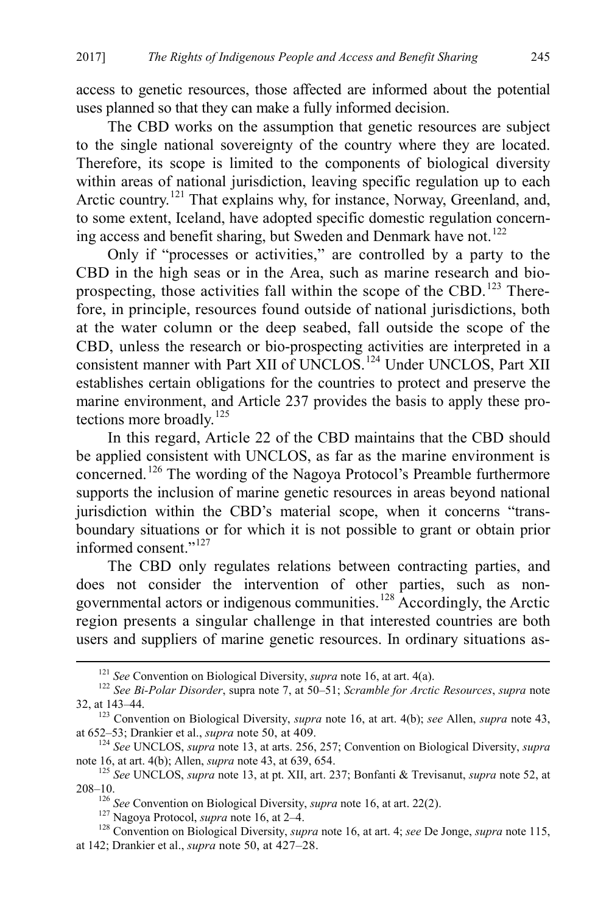access to genetic resources, those affected are informed about the potential uses planned so that they can make a fully informed decision.

The CBD works on the assumption that genetic resources are subject to the single national sovereignty of the country where they are located. Therefore, its scope is limited to the components of biological diversity within areas of national jurisdiction, leaving specific regulation up to each Arctic country.<sup>[121](#page-23-0)</sup> That explains why, for instance, Norway, Greenland, and, to some extent, Iceland, have adopted specific domestic regulation concern-ing access and benefit sharing, but Sweden and Denmark have not.<sup>[122](#page-23-1)</sup>

Only if "processes or activities," are controlled by a party to the CBD in the high seas or in the Area, such as marine research and bio-prospecting, those activities fall within the scope of the CBD.<sup>[123](#page-23-2)</sup> Therefore, in principle, resources found outside of national jurisdictions, both at the water column or the deep seabed, fall outside the scope of the CBD, unless the research or bio-prospecting activities are interpreted in a consistent manner with Part XII of UNCLOS. [124](#page-23-3) Under UNCLOS, Part XII establishes certain obligations for the countries to protect and preserve the marine environment, and Article 237 provides the basis to apply these pro-tections more broadly.<sup>[125](#page-23-4)</sup>

In this regard, Article 22 of the CBD maintains that the CBD should be applied consistent with UNCLOS, as far as the marine environment is concerned. [126](#page-23-5) The wording of the Nagoya Protocol's Preamble furthermore supports the inclusion of marine genetic resources in areas beyond national jurisdiction within the CBD's material scope, when it concerns "transboundary situations or for which it is not possible to grant or obtain prior informed consent."[127](#page-23-6)

The CBD only regulates relations between contracting parties, and does not consider the intervention of other parties, such as nongovernmental actors or indigenous communities. [128](#page-23-7) Accordingly, the Arctic region presents a singular challenge in that interested countries are both users and suppliers of marine genetic resources. In ordinary situations as-

<span id="page-23-1"></span><span id="page-23-0"></span><sup>&</sup>lt;sup>121</sup> *See* Convention on Biological Diversity, *supra* not[e 16,](#page-5-5) at art. 4(a).<br><sup>122</sup> *See Bi-Polar Disorder*, supra not[e 7,](#page-3-4) at 50–51; *Scramble for Arctic Resources*, *supra* note 32, at 143–44.

<span id="page-23-2"></span><sup>&</sup>lt;sup>123</sup> Convention on Biological Diversity, *supra* note [16,](#page-5-5) at art. 4(b); *see* Allen, *supra* not[e 43,](#page-10-0) at 652–53; Drankier et al., *supra* note 50, at 409.

<span id="page-23-3"></span><sup>&</sup>lt;sup>124</sup> See UNCLOS, *supra* not[e 13,](#page-4-7) at arts. 256, 257; Convention on Biological Diversity, *supra* note 16, at art. 4(b); Allen, *supra* note 43, at 639, 654.

<span id="page-23-4"></span><sup>&</sup>lt;sup>125</sup> See UNCLOS, *supra* not[e 13,](#page-4-7) at pt. XII, art. 237; Bonfanti & Trevisanut, *supra* note [52,](#page-11-8) at 208–10.<br><sup>126</sup> See Convention on Biological Diversity, *supra* note 16, at art. 22(2).

<span id="page-23-7"></span><span id="page-23-6"></span><span id="page-23-5"></span><sup>&</sup>lt;sup>127</sup> Nagoya Protocol, *supra* not[e 16,](#page-5-5) at  $2-4$ .<br><sup>128</sup> Convention on Biological Diversity, *supra* not[e 16,](#page-5-5) at art. 4; *see* De Jonge, *supra* not[e 115,](#page-22-6) at 142; Drankier et al., *supra* note [50,](#page-10-9) at 427–28.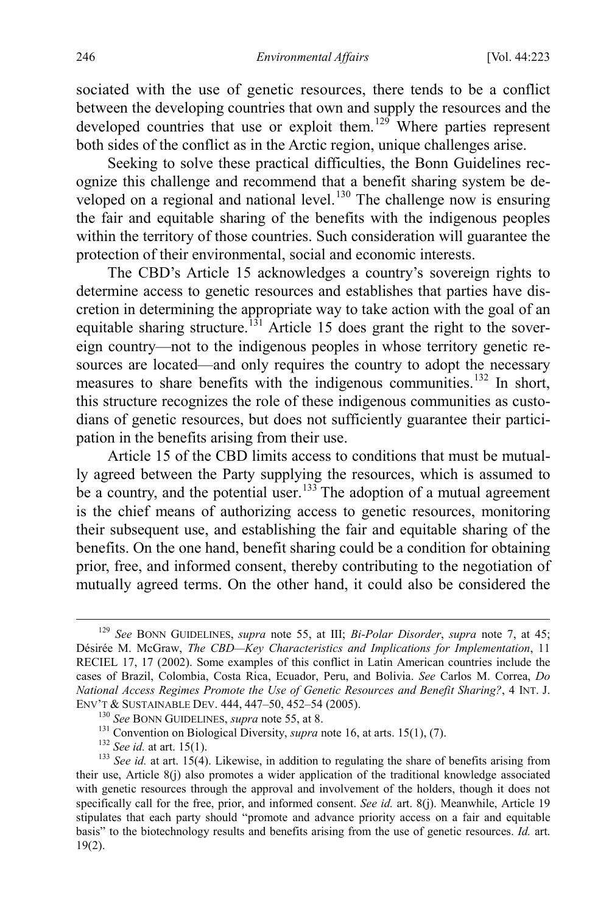sociated with the use of genetic resources, there tends to be a conflict between the developing countries that own and supply the resources and the developed countries that use or exploit them.<sup>[129](#page-24-0)</sup> Where parties represent both sides of the conflict as in the Arctic region, unique challenges arise.

Seeking to solve these practical difficulties, the Bonn Guidelines recognize this challenge and recommend that a benefit sharing system be de-veloped on a regional and national level.<sup>[130](#page-24-1)</sup> The challenge now is ensuring the fair and equitable sharing of the benefits with the indigenous peoples within the territory of those countries. Such consideration will guarantee the protection of their environmental, social and economic interests.

The CBD's Article 15 acknowledges a country's sovereign rights to determine access to genetic resources and establishes that parties have discretion in determining the appropriate way to take action with the goal of an equitable sharing structure.<sup>[131](#page-24-2)</sup> Article 15 does grant the right to the sovereign country—not to the indigenous peoples in whose territory genetic resources are located—and only requires the country to adopt the necessary measures to share benefits with the indigenous communities.<sup>[132](#page-24-3)</sup> In short, this structure recognizes the role of these indigenous communities as custodians of genetic resources, but does not sufficiently guarantee their participation in the benefits arising from their use.

Article 15 of the CBD limits access to conditions that must be mutually agreed between the Party supplying the resources, which is assumed to be a country, and the potential user.<sup>[133](#page-24-4)</sup> The adoption of a mutual agreement is the chief means of authorizing access to genetic resources, monitoring their subsequent use, and establishing the fair and equitable sharing of the benefits. On the one hand, benefit sharing could be a condition for obtaining prior, free, and informed consent, thereby contributing to the negotiation of mutually agreed terms. On the other hand, it could also be considered the

<span id="page-24-0"></span> <sup>129</sup> *See* BONN GUIDELINES, *supra* note [55,](#page-11-9) at III; *Bi-Polar Disorder*, *supra* note [7,](#page-3-4) at 45; Désirée M. McGraw, *The CBD—Key Characteristics and Implications for Implementation*, 11 RECIEL 17, 17 (2002). Some examples of this conflict in Latin American countries include the cases of Brazil, Colombia, Costa Rica, Ecuador, Peru, and Bolivia. *See* Carlos M. Correa, *Do National Access Regimes Promote the Use of Genetic Resources and Benefit Sharing?*, 4 INT. J.

<span id="page-24-4"></span><span id="page-24-3"></span><span id="page-24-2"></span><span id="page-24-1"></span><sup>&</sup>lt;sup>130</sup> See BONN GUIDELINES, *supra* note [55,](#page-11-9) at 8.<br><sup>131</sup> Convention on Biological Diversity, *supra* not[e 16,](#page-5-5) at arts. 15(1), (7).<br><sup>132</sup> See id. at art. 15(1).<br><sup>132</sup> See id. at art. 15(4). Likewise, in addition to regulati their use, Article 8(j) also promotes a wider application of the traditional knowledge associated with genetic resources through the approval and involvement of the holders, though it does not specifically call for the free, prior, and informed consent. *See id.* art. 8(j). Meanwhile, Article 19 stipulates that each party should "promote and advance priority access on a fair and equitable basis" to the biotechnology results and benefits arising from the use of genetic resources. *Id.* art. 19(2).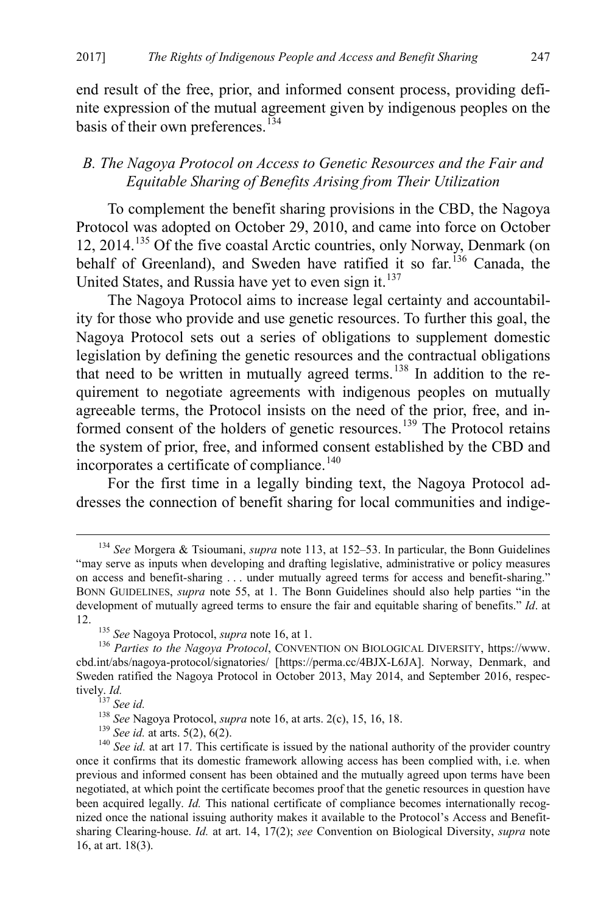end result of the free, prior, and informed consent process, providing definite expression of the mutual agreement given by indigenous peoples on the basis of their own preferences.<sup>[134](#page-25-0)</sup>

## *B. The Nagoya Protocol on Access to Genetic Resources and the Fair and Equitable Sharing of Benefits Arising from Their Utilization*

To complement the benefit sharing provisions in the CBD, the Nagoya Protocol was adopted on October 29, 2010, and came into force on October 12, 2014.<sup>[135](#page-25-1)</sup> Of the five coastal Arctic countries, only Norway, Denmark (on behalf of Greenland), and Sweden have ratified it so far.<sup>[136](#page-25-2)</sup> Canada, the United States, and Russia have yet to even sign it. $137$ 

The Nagoya Protocol aims to increase legal certainty and accountability for those who provide and use genetic resources. To further this goal, the Nagoya Protocol sets out a series of obligations to supplement domestic legislation by defining the genetic resources and the contractual obligations that need to be written in mutually agreed terms.<sup>[138](#page-25-4)</sup> In addition to the requirement to negotiate agreements with indigenous peoples on mutually agreeable terms, the Protocol insists on the need of the prior, free, and in-formed consent of the holders of genetic resources.<sup>[139](#page-25-5)</sup> The Protocol retains the system of prior, free, and informed consent established by the CBD and incorporates a certificate of compliance.<sup>[140](#page-25-6)</sup>

For the first time in a legally binding text, the Nagoya Protocol addresses the connection of benefit sharing for local communities and indige-

<span id="page-25-0"></span> <sup>134</sup> *See* Morgera & Tsioumani, *supra* note [113,](#page-21-5) at 152–53. In particular, the Bonn Guidelines "may serve as inputs when developing and drafting legislative, administrative or policy measures on access and benefit-sharing . . . under mutually agreed terms for access and benefit-sharing." BONN GUIDELINES, *supra* note [55,](#page-11-9) at 1. The Bonn Guidelines should also help parties "in the development of mutually agreed terms to ensure the fair and equitable sharing of benefits." *Id*. at 12. <sup>135</sup> *See* Nagoya Protocol, *supra* note [16,](#page-5-5) at 1.<br><sup>136</sup> *Parties to the Nagoya Protocol*, CONVENTION ON BIOLOGICAL DIVERSITY, https://www.

<span id="page-25-2"></span><span id="page-25-1"></span>cbd.int/abs/nagoya-protocol/signatories/ [https://perma.cc/4BJX-L6JA]. Norway, Denmark, and Sweden ratified the Nagoya Protocol in October 2013, May 2014, and September 2016, respectively. *Id.*<br><sup>137</sup> See id.<br><sup>138</sup> See Nagoya Protocol, *supra* note [16,](#page-5-5) at arts. 2(c), 15, 16, 18.<br><sup>139</sup> See id. at arts. 5(2), 6(2).<br><sup>140</sup> See id. at art 17. This certificate is issued by the national authority of the pr

<span id="page-25-6"></span><span id="page-25-5"></span><span id="page-25-4"></span><span id="page-25-3"></span>once it confirms that its domestic framework allowing access has been complied with, i.e. when previous and informed consent has been obtained and the mutually agreed upon terms have been negotiated, at which point the certificate becomes proof that the genetic resources in question have been acquired legally. *Id.* This national certificate of compliance becomes internationally recognized once the national issuing authority makes it available to the Protocol's Access and Benefitsharing Clearing-house. *Id.* at art. 14, 17(2); *see* Convention on Biological Diversity, *supra* note [16,](#page-5-5) at art. 18(3).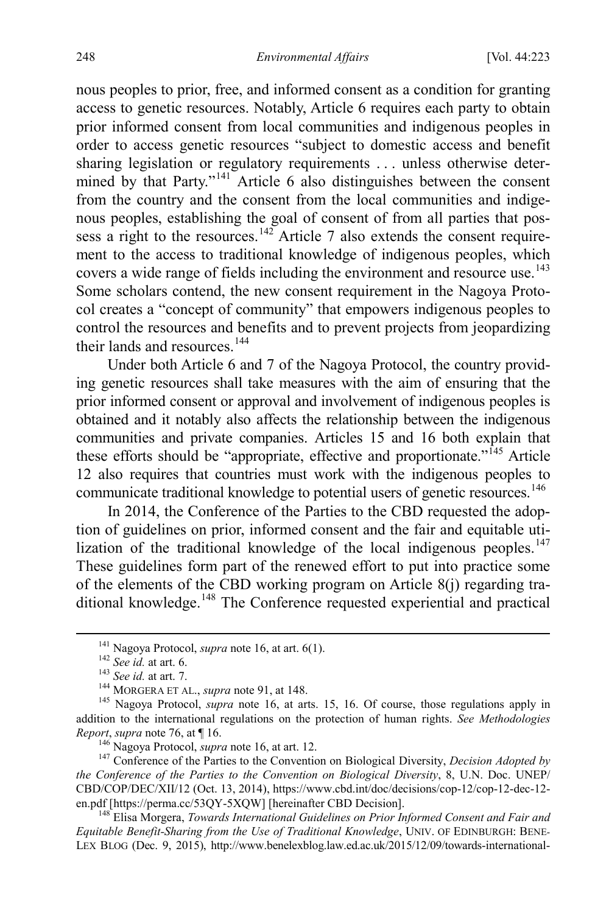nous peoples to prior, free, and informed consent as a condition for granting access to genetic resources. Notably, Article 6 requires each party to obtain prior informed consent from local communities and indigenous peoples in order to access genetic resources "subject to domestic access and benefit sharing legislation or regulatory requirements . . . unless otherwise deter-mined by that Party."<sup>[141](#page-26-0)</sup> Article 6 also distinguishes between the consent from the country and the consent from the local communities and indigenous peoples, establishing the goal of consent of from all parties that pos-sess a right to the resources.<sup>[142](#page-26-1)</sup> Article 7 also extends the consent requirement to the access to traditional knowledge of indigenous peoples, which covers a wide range of fields including the environment and resource use.<sup>[143](#page-26-2)</sup> Some scholars contend, the new consent requirement in the Nagoya Protocol creates a "concept of community" that empowers indigenous peoples to control the resources and benefits and to prevent projects from jeopardizing their lands and resources<sup>[144](#page-26-3)</sup>

Under both Article 6 and 7 of the Nagoya Protocol, the country providing genetic resources shall take measures with the aim of ensuring that the prior informed consent or approval and involvement of indigenous peoples is obtained and it notably also affects the relationship between the indigenous communities and private companies. Articles 15 and 16 both explain that these efforts should be "appropriate, effective and proportionate."<sup> $145$ </sup> Article 12 also requires that countries must work with the indigenous peoples to communicate traditional knowledge to potential users of genetic resources.<sup>[146](#page-26-5)</sup>

In 2014, the Conference of the Parties to the CBD requested the adoption of guidelines on prior, informed consent and the fair and equitable uti-lization of the traditional knowledge of the local indigenous peoples.<sup>[147](#page-26-6)</sup> These guidelines form part of the renewed effort to put into practice some of the elements of the CBD working program on Article 8(j) regarding tra-ditional knowledge.<sup>[148](#page-26-7)</sup> The Conference requested experiential and practical

<span id="page-26-8"></span>

<span id="page-26-3"></span><span id="page-26-2"></span><span id="page-26-1"></span><span id="page-26-0"></span><sup>&</sup>lt;sup>141</sup> Nagoya Protocol, *supra* not[e 16,](#page-5-5) at art. 6(1).<br><sup>142</sup> See id. at art. 6.<br><sup>143</sup> See id. at art. 7.<br><sup>143</sup> MORGERA ET AL., *supra* not[e 91,](#page-17-4) at 148.<br><sup>145</sup> Nagoya Protocol, *supra* note [16,](#page-5-5) at arts. 15, 16. Of course, th addition to the international regulations on the protection of human rights. *See Methodologies Report, supra* note 76, at  $\P$  16.

<span id="page-26-6"></span><span id="page-26-5"></span><span id="page-26-4"></span><sup>&</sup>lt;sup>146</sup> Nagoya Protocol, *supra* not[e 16,](#page-5-5) at art. 12.<br><sup>147</sup> Conference of the Parties to the Convention on Biological Diversity, *Decision Adopted by the Conference of the Parties to the Convention on Biological Diversity*, 8, U.N. Doc. UNEP/ CBD/COP/DEC/XII/12 (Oct. 13, 2014), https://www.cbd.int/doc/decisions/cop-12/cop-12-dec-12-<br>en.pdf [https://perma.cc/53QY-5XQW] [hereinafter CBD Decision].

<span id="page-26-7"></span><sup>&</sup>lt;sup>148</sup> Elisa Morgera, *Towards International Guidelines on Prior Informed Consent and Fair and Equitable Benefit-Sharing from the Use of Traditional Knowledge*, UNIV. OF EDINBURGH: BENE-LEX BLOG (Dec. 9, 2015), http://www.benelexblog.law.ed.ac.uk/2015/12/09/towards-international-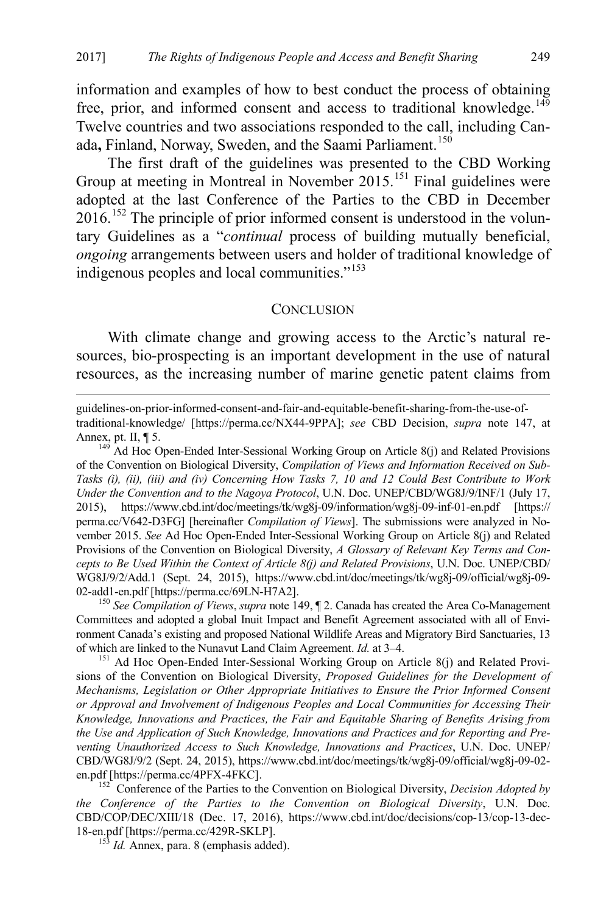information and examples of how to best conduct the process of obtaining free, prior, and informed consent and access to traditional knowledge.<sup>[149](#page-27-2)</sup> Twelve countries and two associations responded to the call, including Canada**,** Finland, Norway, Sweden, and the Saami Parliament. [150](#page-27-3)

The first draft of the guidelines was presented to the CBD Working Group at meeting in Montreal in November 2015.<sup>[151](#page-27-4)</sup> Final guidelines were adopted at the last Conference of the Parties to the CBD in December  $2016$ <sup>[152](#page-27-5)</sup>. The principle of prior informed consent is understood in the voluntary Guidelines as a "*continual* process of building mutually beneficial, *ongoing* arrangements between users and holder of traditional knowledge of indigenous peoples and local communities."[153](#page-27-6)

#### <span id="page-27-1"></span><span id="page-27-0"></span>**CONCLUSION**

With climate change and growing access to the Arctic's natural resources, bio-prospecting is an important development in the use of natural resources, as the increasing number of marine genetic patent claims from

 guidelines-on-prior-informed-consent-and-fair-and-equitable-benefit-sharing-from-the-use-oftraditional-knowledge/ [https://perma.cc/NX44-9PPA]; *see* CBD Decision, *supra* note [147,](#page-26-8) at Annex, pt. II,  $\P$  5.<br><sup>149</sup> Ad Hoc Open-Ended Inter-Sessional Working Group on Article 8(j) and Related Provisions

<span id="page-27-2"></span>of the Convention on Biological Diversity, *Compilation of Views and Information Received on Sub-Tasks (i), (ii), (iii) and (iv) Concerning How Tasks 7, 10 and 12 Could Best Contribute to Work Under the Convention and to the Nagoya Protocol*, U.N. Doc. UNEP/CBD/WG8J/9/INF/1 (July 17, 2015), https://www.cbd.int/doc/meetings/tk/wg8j-09/information/wg8j-09-inf-01-en.pdf [https:// perma.cc/V642-D3FG] [hereinafter *Compilation of Views*]. The submissions were analyzed in November 2015. *See* Ad Hoc Open-Ended Inter-Sessional Working Group on Article 8(j) and Related Provisions of the Convention on Biological Diversity, *A Glossary of Relevant Key Terms and Concepts to Be Used Within the Context of Article 8(j) and Related Provisions*, U.N. Doc. UNEP/CBD/ WG8J/9/2/Add.1 (Sept. 24, 2015), https://www.cbd.int/doc/meetings/tk/wg8j-09/official/wg8j-09- 02-add1-en.pdf [https://perma.cc/69LN-H7A2]. 150 *See Compilation of Views*, *supra* not[e 149,](#page-27-1) ¶ 2. Canada has created the Area Co-Management

<span id="page-27-3"></span>Committees and adopted a global Inuit Impact and Benefit Agreement associated with all of Environment Canada's existing and proposed National Wildlife Areas and Migratory Bird Sanctuaries, 13 of which are linked to the Nunavut Land Claim Agreement. *Id.* at 3–4.<br><sup>151</sup> Ad Hoc Open-Ended Inter-Sessional Working Group on Article 8(j) and Related Provi-

<span id="page-27-4"></span>sions of the Convention on Biological Diversity, *Proposed Guidelines for the Development of Mechanisms, Legislation or Other Appropriate Initiatives to Ensure the Prior Informed Consent or Approval and Involvement of Indigenous Peoples and Local Communities for Accessing Their Knowledge, Innovations and Practices, the Fair and Equitable Sharing of Benefits Arising from the Use and Application of Such Knowledge, Innovations and Practices and for Reporting and Preventing Unauthorized Access to Such Knowledge, Innovations and Practices*, U.N. Doc. UNEP/ CBD/WG8J/9/2 (Sept. 24, 2015), https://www.cbd.int/doc/meetings/tk/wg8j-09/official/wg8j-09-02-

<span id="page-27-6"></span><span id="page-27-5"></span><sup>152</sup> Conference of the Parties to the Convention on Biological Diversity, *Decision Adopted by the Conference of the Parties to the Convention on Biological Diversity*, U.N. Doc. CBD/COP/DEC/XIII/18 (Dec. 17, 2016), https://www.cbd.int/doc/decisions/cop-13/cop-13-dec-18-en.pdf [https://perma.cc/429R-SKLP]. 153 *Id.* Annex, para. 8 (emphasis added).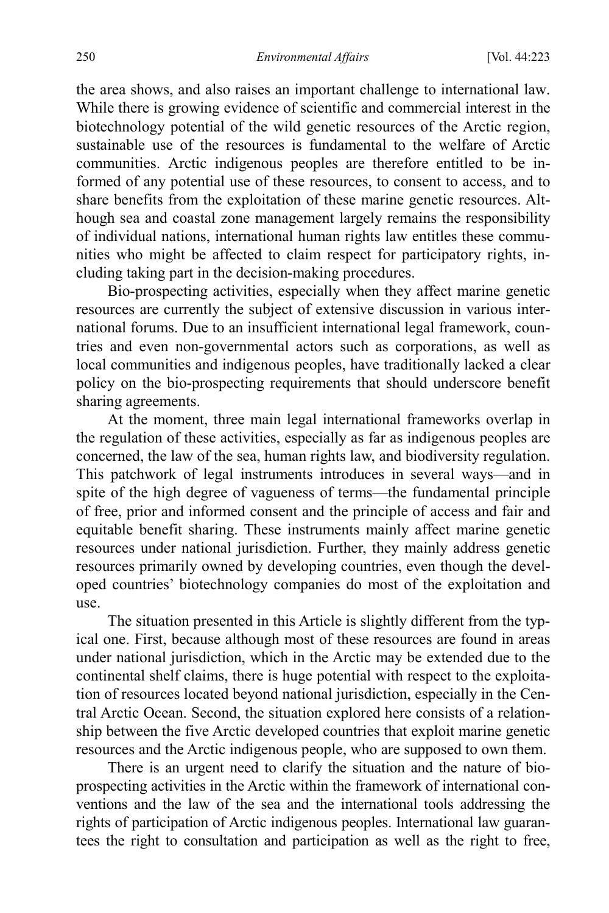the area shows, and also raises an important challenge to international law. While there is growing evidence of scientific and commercial interest in the biotechnology potential of the wild genetic resources of the Arctic region, sustainable use of the resources is fundamental to the welfare of Arctic communities. Arctic indigenous peoples are therefore entitled to be informed of any potential use of these resources, to consent to access, and to share benefits from the exploitation of these marine genetic resources. Although sea and coastal zone management largely remains the responsibility of individual nations, international human rights law entitles these communities who might be affected to claim respect for participatory rights, including taking part in the decision-making procedures.

Bio-prospecting activities, especially when they affect marine genetic resources are currently the subject of extensive discussion in various international forums. Due to an insufficient international legal framework, countries and even non-governmental actors such as corporations, as well as local communities and indigenous peoples, have traditionally lacked a clear policy on the bio-prospecting requirements that should underscore benefit sharing agreements.

At the moment, three main legal international frameworks overlap in the regulation of these activities, especially as far as indigenous peoples are concerned, the law of the sea, human rights law, and biodiversity regulation. This patchwork of legal instruments introduces in several ways—and in spite of the high degree of vagueness of terms—the fundamental principle of free, prior and informed consent and the principle of access and fair and equitable benefit sharing. These instruments mainly affect marine genetic resources under national jurisdiction. Further, they mainly address genetic resources primarily owned by developing countries, even though the developed countries' biotechnology companies do most of the exploitation and use.

The situation presented in this Article is slightly different from the typical one. First, because although most of these resources are found in areas under national jurisdiction, which in the Arctic may be extended due to the continental shelf claims, there is huge potential with respect to the exploitation of resources located beyond national jurisdiction, especially in the Central Arctic Ocean. Second, the situation explored here consists of a relationship between the five Arctic developed countries that exploit marine genetic resources and the Arctic indigenous people, who are supposed to own them.

There is an urgent need to clarify the situation and the nature of bioprospecting activities in the Arctic within the framework of international conventions and the law of the sea and the international tools addressing the rights of participation of Arctic indigenous peoples. International law guarantees the right to consultation and participation as well as the right to free,